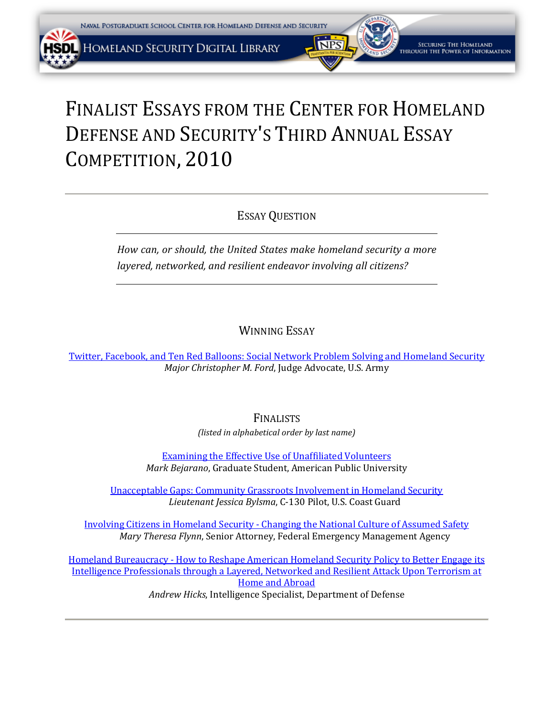

HOMELAND SECURITY DIGITAL LIBRARY



# FINALIST ESSAYS FROM THE CENTER FOR HOMELAND DEFENSE AND SECURITY'S THIRD ANNUAL ESSAY COMPETITION, 2010

ESSAY QUESTION

*How can, or should, the United States make homeland security a more layered, networked, and resilient endeavor involving all citizens?*

# WINNING ESSAY

[Twitter, Facebook, and Ten Red Balloons: Social Network Problem Solving and Homeland Security](#page-2-0)  *Major Christopher M. Ford*, Judge Advocate, U.S. Army

# FINALISTS

*(listed in alphabetical order by last name)*

[Examining the Effective Use of Unaffiliated Volunteers](#page-9-0) *Mark Bejarano*, Graduate Student, American Public University

[Unacceptable Gaps: Community Grassroots Involvement in Homeland Security](#page-19-0) *Lieutenant Jessica Bylsma*, C-130 Pilot, U.S. Coast Guard

Involving Citizens in Homeland Security - [Changing the National Culture of Assumed Safety](#page-27-0) *Mary Theresa Flynn*, Senior Attorney, Federal Emergency Management Agency

Homeland Bureaucracy - How to Reshape American Homeland Security Policy to Better Engage its [Intelligence Professionals through a Layered, Networked and Resilient Attack Upon Terrorism at](#page-34-0)  Home and Abroad *Andrew Hicks*, Intelligence Specialist, Department of Defense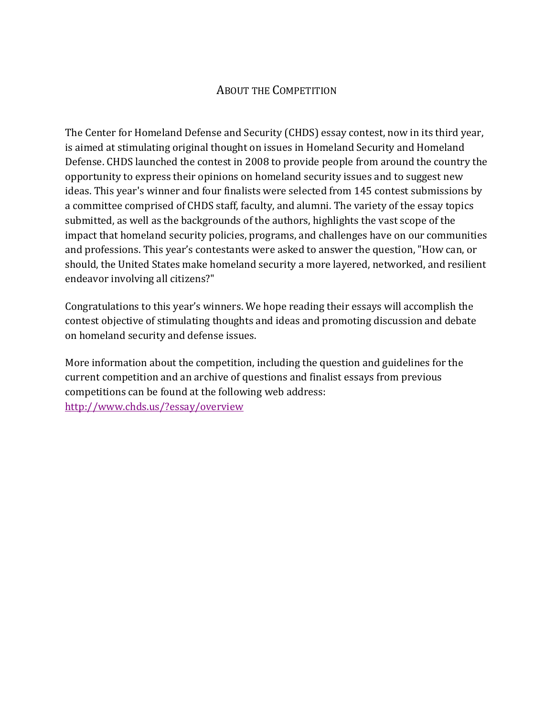# ABOUT THE COMPETITION

The Center for Homeland Defense and Security (CHDS) essay contest, now in its third year, is aimed at stimulating original thought on issues in Homeland Security and Homeland Defense. CHDS launched the contest in 2008 to provide people from around the country the opportunity to express their opinions on homeland security issues and to suggest new ideas. This year's winner and four finalists were selected from 145 contest submissions by a committee comprised of CHDS staff, faculty, and alumni. The variety of the essay topics submitted, as well as the backgrounds of the authors, highlights the vast scope of the impact that homeland security policies, programs, and challenges have on our communities and professions. This year's contestants were asked to answer the question, "How can, or should, the United States make homeland security a more layered, networked, and resilient endeavor involving all citizens?"

Congratulations to this year's winners. We hope reading their essays will accomplish the contest objective of stimulating thoughts and ideas and promoting discussion and debate on homeland security and defense issues.

More information about the competition, including the question and guidelines for the current competition and an archive of questions and finalist essays from previous competitions can be found at the following web address: <http://www.chds.us/?essay/overview>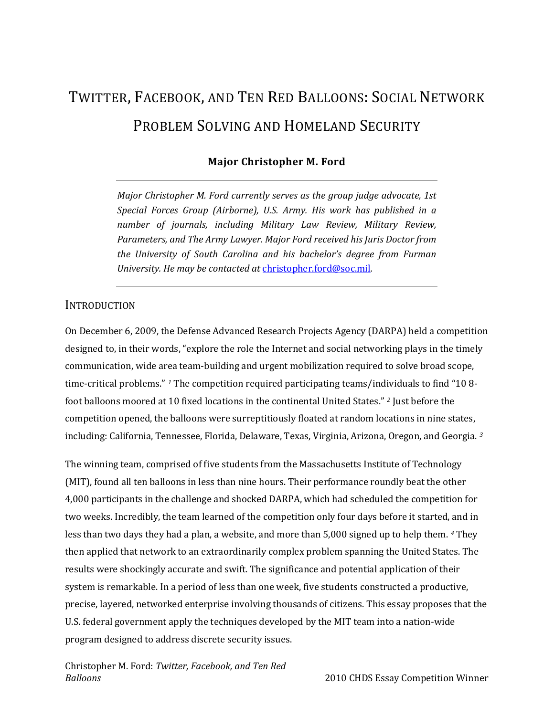# <span id="page-2-0"></span>TWITTER, FACEBOOK, AND TEN RED BALLOONS: SOCIAL NETWORK PROBLEM SOLVING AND HOMELAND SECURITY

# **Major Christopher M. Ford**

*Major Christopher M. Ford currently serves as the group judge advocate, 1st Special Forces Group (Airborne), U.S. Army. His work has published in a number of journals, including Military Law Review, Military Review, Parameters, and The Army Lawyer. Major Ford received his Juris Doctor from the University of South Carolina and his bachelor's degree from Furman University. He may be contacted at* [christopher.ford@soc.mil](mailto:christopher.ford@soc.mil)*.* 

#### **INTRODUCTION**

On December 6, 2009, the Defense Advanced Research Projects Agency (DARPA) held a competition designed to, in their words, "explore the role the Internet and social networking plays in the timely communication, wide area team-building and urgent mobilization required to solve broad scope, time-critical problems." *[1](#page-4-0)* The competition required participating teams/individuals to find "10 8 foot balloons moored at 10 fixed locations in the continental United States." *[2](#page-8-0)* Just before the competition opened, the balloons were surreptitiously floated at random locations in nine states, including: California, Tennessee, Florida, Delaware, Texas, Virginia, Arizona, Oregon, and Georgia. *[3](#page-4-2)*

The winning team, comprised of five students from the Massachusetts Institute of Technology (MIT), found all ten balloons in less than nine hours. Their performance roundly beat the other 4,000 participants in the challenge and shocked DARPA, which had scheduled the competition for two weeks. Incredibly, the team learned of the competition only four days before it started, and in less than two days they had a plan, a website, and more than 5,000 signed up to help them. *[4](#page-8-0)* They then applied that network to an extraordinarily complex problem spanning the United States. The results were shockingly accurate and swift. The significance and potential application of their system is remarkable. In a period of less than one week, five students constructed a productive, precise, layered, networked enterprise involving thousands of citizens. This essay proposes that the U.S. federal government apply the techniques developed by the MIT team into a nation-wide program designed to address discrete security issues.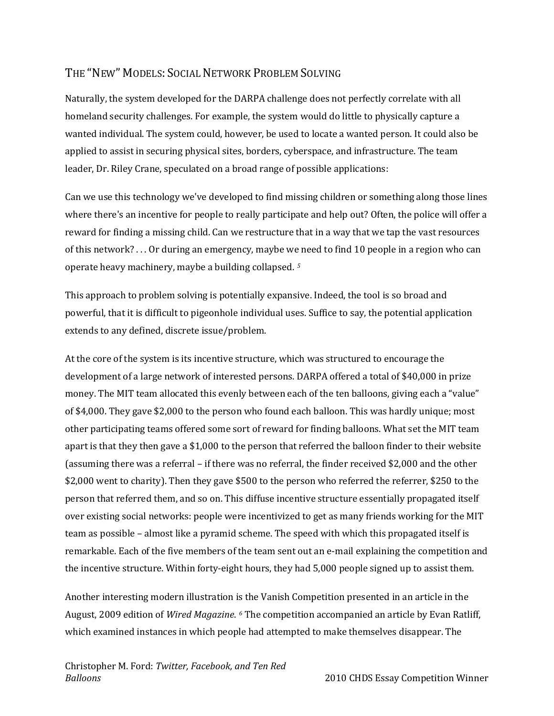# THE "NEW" MODELS: SOCIAL NETWORK PROBLEM SOLVING

Naturally, the system developed for the DARPA challenge does not perfectly correlate with all homeland security challenges. For example, the system would do little to physically capture a wanted individual. The system could, however, be used to locate a wanted person. It could also be applied to assist in securing physical sites, borders, cyberspace, and infrastructure. The team leader, Dr. Riley Crane, speculated on a broad range of possible applications:

Can we use this technology we've developed to find missing children or something along those lines where there's an incentive for people to really participate and help out? Often, the police will offer a reward for finding a missing child. Can we restructure that in a way that we tap the vast resources of this network? . . . Or during an emergency, maybe we need to find 10 people in a region who can operate heavy machinery, maybe a building collapsed[.](#page-8-0) *[5](#page-5-0)*

This approach to problem solving is potentially expansive. Indeed, the tool is so broad and powerful, that it is difficult to pigeonhole individual uses. Suffice to say, the potential application extends to any defined, discrete issue/problem.

At the core of the system is its incentive structure, which was structured to encourage the development of a large network of interested persons. DARPA offered a total of \$40,000 in prize money. The MIT team allocated this evenly between each of the ten balloons, giving each a "value" of \$4,000. They gave \$2,000 to the person who found each balloon. This was hardly unique; most other participating teams offered some sort of reward for finding balloons. What set the MIT team apart is that they then gave a \$1,000 to the person that referred the balloon finder to their website (assuming there was a referral – if there was no referral, the finder received \$2,000 and the other \$2,000 went to charity). Then they gave \$500 to the person who referred the referrer, \$250 to the person that referred them, and so on. This diffuse incentive structure essentially propagated itself over existing social networks: people were incentivized to get as many friends working for the MIT team as possible – almost like a pyramid scheme. The speed with which this propagated itself is remarkable. Each of the five members of the team sent out an e-mail explaining the competition and the incentive structure. Within forty-eight hours, they had 5,000 people signed up to assist them.

Another interesting modern illustration is the Vanish Competition presented in an article in the August, 2009 edition of *Wired Magazine*. *[6](#page-5-1)* The competition accompanied an article by Evan Ratliff, which examined instances in which people had attempted to make themselves disappear. The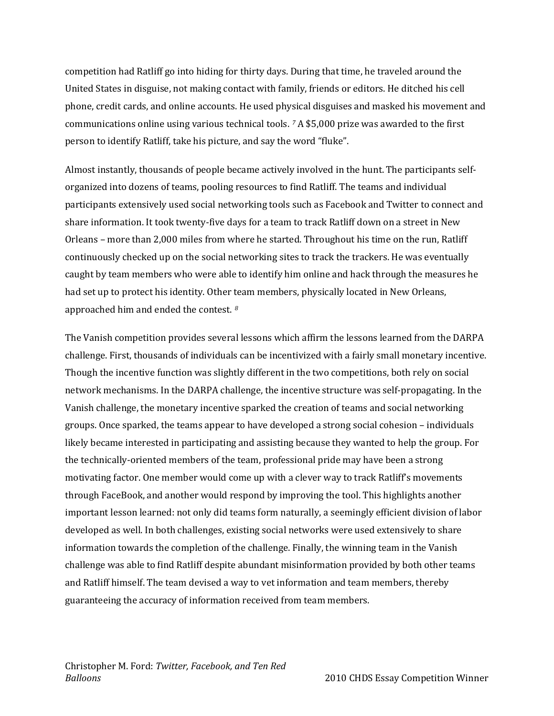competition had Ratliff go into hiding for thirty days. During that time, he traveled around the United States in disguise, not making contact with family, friends or editors. He ditched his cell phone, credit cards, and online accounts. He used physical disguises and masked his movement and communications online using various technical tools. *[7](#page-6-0)* A \$5,000 prize was awarded to the first person to identify Ratliff, take his picture, and say the word "fluke".

<span id="page-4-3"></span><span id="page-4-2"></span><span id="page-4-1"></span><span id="page-4-0"></span>Almost instantly, thousands of people became actively involved in the hunt. The participants selforganized into dozens of teams, pooling resources to find Ratliff. The teams and individual participants extensively used social networking tools such as Facebook and Twitter to connect and share information. It took twenty-five days for a team to track Ratliff down on a street in New Orleans – more than 2,000 miles from where he started. Throughout his time on the run, Ratliff continuously checked up on the social networking sites to track the trackers. He was eventually caught by team members who were able to identify him online and hack through the measures he had set up to protect his identity. Other team members, physically located in New Orleans, approached him and ended the contest. *[8](#page-8-0)*

The Vanish competition provides several lessons which affirm the lessons learned from the DARPA challenge. First, thousands of individuals can be incentivized with a fairly small monetary incentive. Though the incentive function was slightly different in the two competitions, both rely on social network mechanisms. In the DARPA challenge, the incentive structure was self-propagating. In the Vanish challenge, the monetary incentive sparked the creation of teams and social networking groups. Once sparked, the teams appear to have developed a strong social cohesion – individuals likely became interested in participating and assisting because they wanted to help the group. For the technically-oriented members of the team, professional pride may have been a strong motivating factor. One member would come up with a clever way to track Ratliff's movements through FaceBook, and another would respond by improving the tool. This highlights another important lesson learned: not only did teams form naturally, a seemingly efficient division of labor developed as well. In both challenges, existing social networks were used extensively to share information towards the completion of the challenge. Finally, the winning team in the Vanish challenge was able to find Ratliff despite abundant misinformation provided by both other teams and Ratliff himself. The team devised a way to vet information and team members, thereby guaranteeing the accuracy of information received from team members.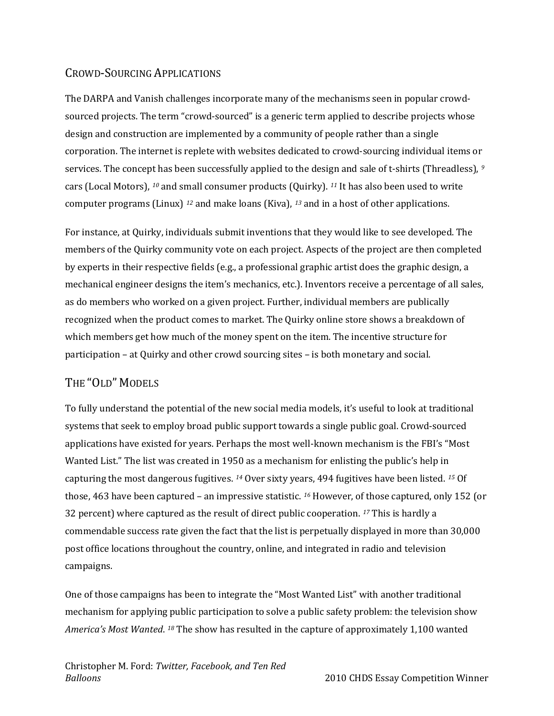#### CROWD-SOURCING APPLICATIONS

The DARPA and Vanish challenges incorporate many of the mechanisms seen in popular crowdsourced projects. The term "crowd-sourced" is a generic term applied to describe projects whose design and construction are implemented by a community of people rather than a single corporation. The internet is replete with websites dedicated to crowd-sourcing individual items or services. The concept has been successfully applied to the design and sale of t-shirts (Threadless), *[9](#page-7-0)* cars (Local Motors), *[10](#page-7-1)* and small consumer products (Quirky). *[11](#page-7-2)* It has also been used to write computer programs (Linux) *[12](#page-7-3)* and make loans (Kiva), *[13](#page-7-4)* and in a host of other applications.

<span id="page-5-1"></span><span id="page-5-0"></span>For instance, at Quirky, individuals submit inventions that they would like to see developed. The members of the Quirky community vote on each project. Aspects of the project are then completed by experts in their respective fields (e.g., a professional graphic artist does the graphic design, a mechanical engineer designs the item's mechanics, etc.). Inventors receive a percentage of all sales, as do members who worked on a given project. Further, individual members are publically recognized when the product comes to market. The Quirky online store shows a breakdown of which members get how much of the money spent on the item. The incentive structure for participation – at Quirky and other crowd sourcing sites – is both monetary and social.

#### THE "OLD" MODELS

To fully understand the potential of the new social media models, it's useful to look at traditional systems that seek to employ broad public support towards a single public goal. Crowd-sourced applications have existed for years. Perhaps the most well-known mechanism is the FBI's "Most Wanted List." The list was created in 1950 as a mechanism for enlisting the public's help in capturing the most dangerous fugitives. *[1](#page-7-5)[4](#page-8-0)* Over sixty years, 494 fugitives have been listed. *[15](#page-7-6)* Of those, 463 have been captured – an impressive statistic. *[1](#page-7-7)[6](#page-8-0)* However, of those captured, only 152 (or 32 percent) where captured as the result of direct public cooperation. *[17](#page-7-8)* This is hardly a commendable success rate given the fact that the list is perpetually displayed in more than 30,000 post office locations throughout the country, online, and integrated in radio and television campaigns.

One of those campaigns has been to integrate the "Most Wanted List" with another traditional mechanism for applying public participation to solve a public safety problem: the television show *America's Most Wanted*. *[18](#page-7-9)* The show has resulted in the capture of approximately 1,100 wanted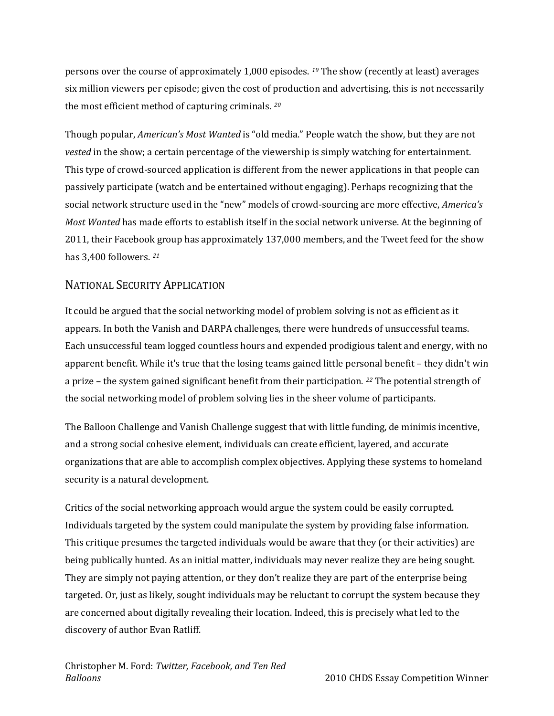persons over the course of approximately 1,000 episodes. *[1](#page-8-1)[9](#page-8-0)* The show (recently at least) averages six million viewers per episode; given the cost of production and advertising, this is not necessarily the most efficient method of capturing criminals. *[20](#page-8-2)*

Though popular, *American's Most Wanted* is "old media." People watch the show, but they are not *vested* in the show; a certain percentage of the viewership is simply watching for entertainment. This type of crowd-sourced application is different from the newer applications in that people can passively participate (watch and be entertained without engaging). Perhaps recognizing that the social network structure used in the "new" models of crowd-sourcing are more effective, *America's Most Wanted* has made efforts to establish itself in the social network universe. At the beginning of 2011, their Facebook group has approximately 137,000 members, and the Tweet feed for the show has 3,400 followers. *[2](#page-8-0)[1](#page-8-3)*

# <span id="page-6-1"></span><span id="page-6-0"></span>NATIONAL SECURITY APPLICATION

It could be argued that the social networking model of problem solving is not as efficient as it appears. In both the Vanish and DARPA challenges, there were hundreds of unsuccessful teams. Each unsuccessful team logged countless hours and expended prodigious talent and energy, with no apparent benefit. While it's true that the losing teams gained little personal benefit – they didn't win a prize – the system gained significant benefit from their participation. *[2](#page-8-4)[2](#page-8-0)* The potential strength of the social networking model of problem solving lies in the sheer volume of participants.

The Balloon Challenge and Vanish Challenge suggest that with little funding, de minimis incentive, and a strong social cohesive element, individuals can create efficient, layered, and accurate organizations that are able to accomplish complex objectives. Applying these systems to homeland security is a natural development.

Critics of the social networking approach would argue the system could be easily corrupted. Individuals targeted by the system could manipulate the system by providing false information. This critique presumes the targeted individuals would be aware that they (or their activities) are being publically hunted. As an initial matter, individuals may never realize they are being sought. They are simply not paying attention, or they don't realize they are part of the enterprise being targeted. Or, just as likely, sought individuals may be reluctant to corrupt the system because they are concerned about digitally revealing their location. Indeed, this is precisely what led to the discovery of author Evan Ratliff.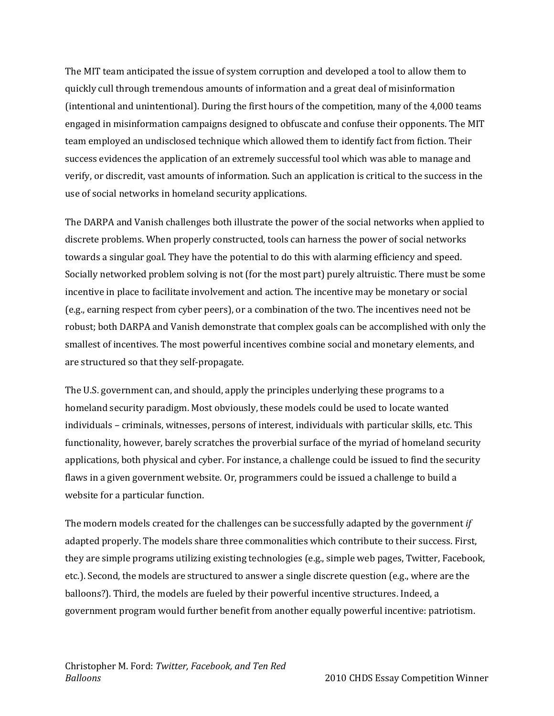The MIT team anticipated the issue of system corruption and developed a tool to allow them to quickly cull through tremendous amounts of information and a great deal of misinformation (intentional and unintentional). During the first hours of the competition, many of the 4,000 teams engaged in misinformation campaigns designed to obfuscate and confuse their opponents. The MIT team employed an undisclosed technique which allowed them to identify fact from fiction. Their success evidences the application of an extremely successful tool which was able to manage and verify, or discredit, vast amounts of information. Such an application is critical to the success in the use of social networks in homeland security applications.

<span id="page-7-2"></span><span id="page-7-1"></span><span id="page-7-0"></span>The DARPA and Vanish challenges both illustrate the power of the social networks when applied to discrete problems. When properly constructed, tools can harness the power of social networks towards a singular goal. They have the potential to do this with alarming efficiency and speed. Socially networked problem solving is not (for the most part) purely altruistic. There must be some incentive in place to facilitate involvement and action. The incentive may be monetary or social (e.g., earning respect from cyber peers), or a combination of the two. The incentives need not be robust; both DARPA and Vanish demonstrate that complex goals can be accomplished with only the smallest of incentives. The most powerful incentives combine social and monetary elements, and are structured so that they self-propagate.

<span id="page-7-9"></span><span id="page-7-8"></span><span id="page-7-7"></span><span id="page-7-6"></span><span id="page-7-5"></span><span id="page-7-4"></span><span id="page-7-3"></span>The U.S. government can, and should, apply the principles underlying these programs to a homeland security paradigm. Most obviously, these models could be used to locate wanted individuals – criminals, witnesses, persons of interest, individuals with particular skills, etc. This functionality, however, barely scratches the proverbial surface of the myriad of homeland security applications, both physical and cyber. For instance, a challenge could be issued to find the security flaws in a given government website. Or, programmers could be issued a challenge to build a website for a particular function.

The modern models created for the challenges can be successfully adapted by the government *if* adapted properly. The models share three commonalities which contribute to their success. First, they are simple programs utilizing existing technologies (e.g., simple web pages, Twitter, Facebook, etc.). Second, the models are structured to answer a single discrete question (e.g., where are the balloons?). Third, the models are fueled by their powerful incentive structures. Indeed, a government program would further benefit from another equally powerful incentive: patriotism.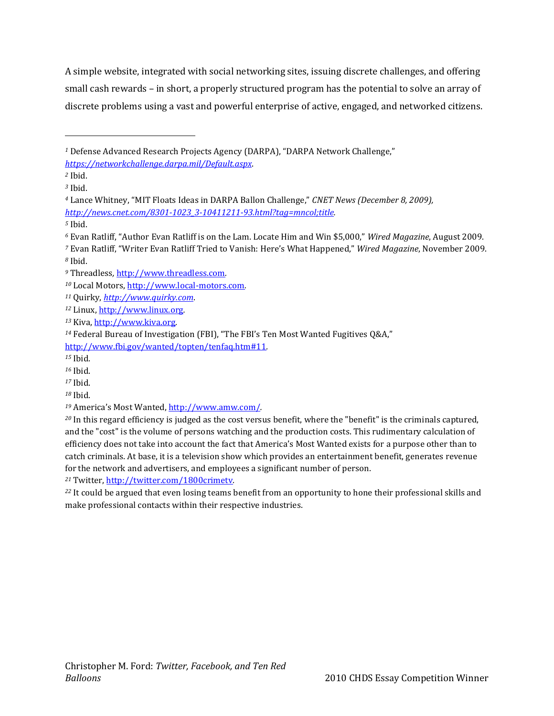<span id="page-8-0"></span>A simple website, integrated with social networking sites, issuing discrete challenges, and offering small cash rewards – in short, a properly structured program has the potential to solve an array of discrete problems using a vast and powerful enterprise of active, engaged, and networked citizens.

j

<http://www.fbi.gov/wanted/topten/tenfaq.htm#11>*.*

Ibid.

<span id="page-8-2"></span> In this regard efficiency is judged as the cost versus benefit, where the "benefit" is the criminals captured, and the "cost" is the volume of persons watching and the production costs. This rudimentary calculation of efficiency does not take into account the fact that America's Most Wanted exists for a purpose other than to catch criminals. At base, it is a television show which provides an entertainment benefit, generates revenue for the network and advertisers, and employees a significant number of person.

<span id="page-8-3"></span>Twitter, <http://twitter.com/1800crimetv>*.*

<span id="page-8-4"></span> It could be argued that even losing teams benefit from an opportunity to hone their professional skills and make professional contacts within their respective industries.

Defense Advanced Research Projects Agency (DARPA), "DARPA Network Challenge,"

*<https://networkchallenge.darpa.mil/Default.aspx>*.

Ibid.

Ibid.

 Lance Whitney, "MIT Floats Ideas in DARPA Ballon Challenge," *CNET News (December 8, 2009), [http://news.cnet.com/8301-1023\\_3-10411211-93.html?tag=mncol;title.](http://news.cnet.com/8301-1023_3-10411211-93.html?tag=mncol;title)*

Ibid.

Evan Ratliff, "Author Evan Ratliff is on the Lam. Locate Him and Win \$5,000," *Wired Magazine*, August 2009.

 Evan Ratliff, "Writer Evan Ratliff Tried to Vanish: Here's What Happened," *Wired Magazine*, November 2009. Ibid.

Threadless*,* [http://www.threadless.com](http://www.threadless.com/)*.*

Local Motors, [http://www.local-motors.com](http://www.local-motors.com/)*.*

Quirky, *[http://www.quirky.com](http://www.quirky.com/)*.

Linux, [http://www.linux.org](http://www.linux.org/)*.*

Kiva[, http://www.kiva.org](http://www.kiva.org/)*.*

Federal Bureau of Investigation (FBI), "The FBI's Ten Most Wanted Fugitives Q&A,"

Ibid.

Ibid.

Ibid.

<span id="page-8-1"></span>America's Most Wanted, <http://www.amw.com/>*.*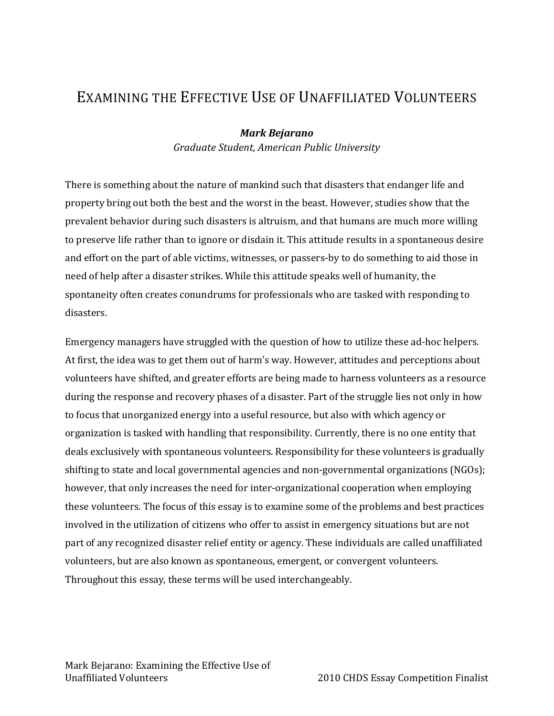# <span id="page-9-0"></span>EXAMINING THE EFFECTIVE USE OF UNAFFILIATED VOLUNTEERS

*Mark Bejarano Graduate Student, American Public University*

There is something about the nature of mankind such that disasters that endanger life and property bring out both the best and the worst in the beast. However, studies show that the prevalent behavior during such disasters is altruism, and that humans are much more willing to preserve life rather than to ignore or disdain it. This attitude results in a spontaneous desire and effort on the part of able victims, witnesses, or passers-by to do something to aid those in need of help after a disaster strikes. While this attitude speaks well of humanity, the spontaneity often creates conundrums for professionals who are tasked with responding to disasters.

Emergency managers have struggled with the question of how to utilize these ad-hoc helpers. At first, the idea was to get them out of harm's way. However, attitudes and perceptions about volunteers have shifted, and greater efforts are being made to harness volunteers as a resource during the response and recovery phases of a disaster. Part of the struggle lies not only in how to focus that unorganized energy into a useful resource, but also with which agency or organization is tasked with handling that responsibility. Currently, there is no one entity that deals exclusively with spontaneous volunteers. Responsibility for these volunteers is gradually shifting to state and local governmental agencies and non-governmental organizations (NGOs); however, that only increases the need for inter-organizational cooperation when employing these volunteers. The focus of this essay is to examine some of the problems and best practices involved in the utilization of citizens who offer to assist in emergency situations but are not part of any recognized disaster relief entity or agency. These individuals are called unaffiliated volunteers, but are also known as spontaneous, emergent, or convergent volunteers. Throughout this essay, these terms will be used interchangeably.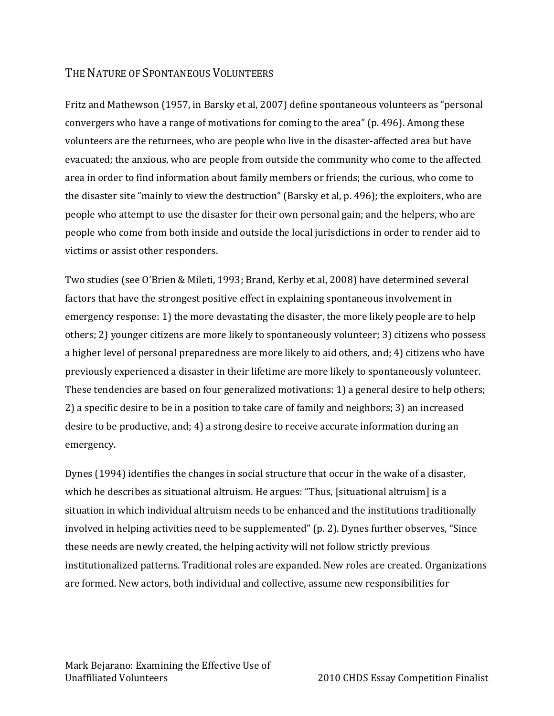#### THE NATURE OF SPONTANEOUS VOLUNTEERS

Fritz and Mathewson (1957, in Barsky et al, 2007) define spontaneous volunteers as "personal convergers who have a range of motivations for coming to the area" (p. 496). Among these volunteers are the returnees, who are people who live in the disaster-affected area but have evacuated; the anxious, who are people from outside the community who come to the affected area in order to find information about family members or friends; the curious, who come to the disaster site "mainly to view the destruction" (Barsky et al, p. 496); the exploiters, who are people who attempt to use the disaster for their own personal gain; and the helpers, who are people who come from both inside and outside the local jurisdictions in order to render aid to victims or assist other responders.

Two studies (see O'Brien & Mileti, 1993; Brand, Kerby et al, 2008) have determined several factors that have the strongest positive effect in explaining spontaneous involvement in emergency response: 1) the more devastating the disaster, the more likely people are to help others; 2) younger citizens are more likely to spontaneously volunteer; 3) citizens who possess a higher level of personal preparedness are more likely to aid others, and; 4) citizens who have previously experienced a disaster in their lifetime are more likely to spontaneously volunteer. These tendencies are based on four generalized motivations: 1) a general desire to help others; 2) a specific desire to be in a position to take care of family and neighbors; 3) an increased desire to be productive, and; 4) a strong desire to receive accurate information during an emergency.

Dynes (1994) identifies the changes in social structure that occur in the wake of a disaster, which he describes as situational altruism. He argues: "Thus, [situational altruism] is a situation in which individual altruism needs to be enhanced and the institutions traditionally involved in helping activities need to be supplemented" (p. 2). Dynes further observes, "Since these needs are newly created, the helping activity will not follow strictly previous institutionalized patterns. Traditional roles are expanded. New roles are created. Organizations are formed. New actors, both individual and collective, assume new responsibilities for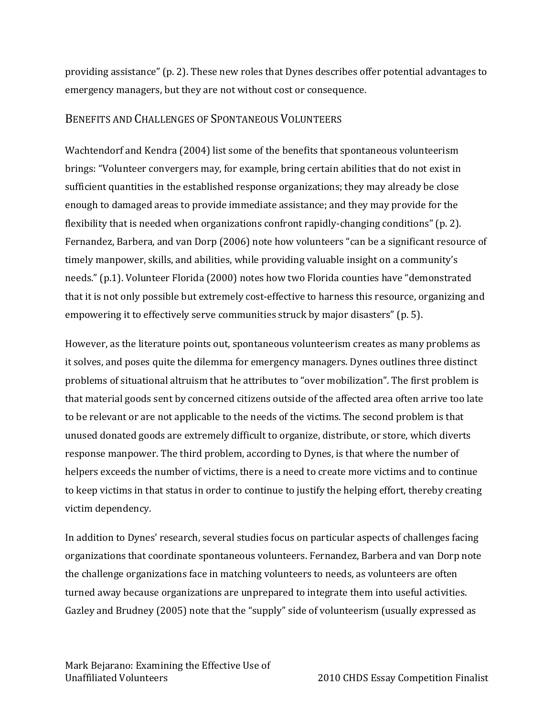providing assistance" (p. 2). These new roles that Dynes describes offer potential advantages to emergency managers, but they are not without cost or consequence.

### BENEFITS AND CHALLENGES OF SPONTANEOUS VOLUNTEERS

Wachtendorf and Kendra (2004) list some of the benefits that spontaneous volunteerism brings: "Volunteer convergers may, for example, bring certain abilities that do not exist in sufficient quantities in the established response organizations; they may already be close enough to damaged areas to provide immediate assistance; and they may provide for the flexibility that is needed when organizations confront rapidly-changing conditions" (p. 2). Fernandez, Barbera, and van Dorp (2006) note how volunteers "can be a significant resource of timely manpower, skills, and abilities, while providing valuable insight on a community's needs." (p.1). Volunteer Florida (2000) notes how two Florida counties have "demonstrated that it is not only possible but extremely cost-effective to harness this resource, organizing and empowering it to effectively serve communities struck by major disasters" (p. 5).

However, as the literature points out, spontaneous volunteerism creates as many problems as it solves, and poses quite the dilemma for emergency managers. Dynes outlines three distinct problems of situational altruism that he attributes to "over mobilization". The first problem is that material goods sent by concerned citizens outside of the affected area often arrive too late to be relevant or are not applicable to the needs of the victims. The second problem is that unused donated goods are extremely difficult to organize, distribute, or store, which diverts response manpower. The third problem, according to Dynes, is that where the number of helpers exceeds the number of victims, there is a need to create more victims and to continue to keep victims in that status in order to continue to justify the helping effort, thereby creating victim dependency.

In addition to Dynes' research, several studies focus on particular aspects of challenges facing organizations that coordinate spontaneous volunteers. Fernandez, Barbera and van Dorp note the challenge organizations face in matching volunteers to needs, as volunteers are often turned away because organizations are unprepared to integrate them into useful activities. Gazley and Brudney (2005) note that the "supply" side of volunteerism (usually expressed as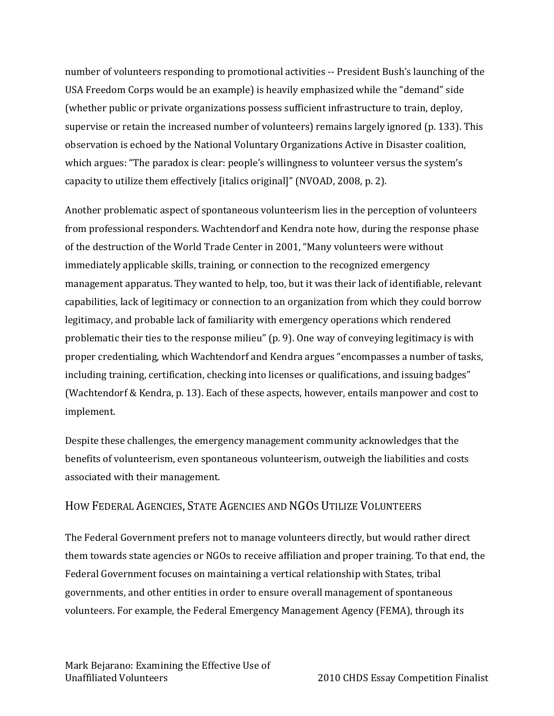number of volunteers responding to promotional activities -- President Bush's launching of the USA Freedom Corps would be an example) is heavily emphasized while the "demand" side (whether public or private organizations possess sufficient infrastructure to train, deploy, supervise or retain the increased number of volunteers) remains largely ignored (p. 133). This observation is echoed by the National Voluntary Organizations Active in Disaster coalition, which argues: "The paradox is clear: people's willingness to volunteer versus the system's capacity to utilize them effectively [italics original]" (NVOAD, 2008, p. 2).

Another problematic aspect of spontaneous volunteerism lies in the perception of volunteers from professional responders. Wachtendorf and Kendra note how, during the response phase of the destruction of the World Trade Center in 2001, "Many volunteers were without immediately applicable skills, training, or connection to the recognized emergency management apparatus. They wanted to help, too, but it was their lack of identifiable, relevant capabilities, lack of legitimacy or connection to an organization from which they could borrow legitimacy, and probable lack of familiarity with emergency operations which rendered problematic their ties to the response milieu" (p. 9). One way of conveying legitimacy is with proper credentialing, which Wachtendorf and Kendra argues "encompasses a number of tasks, including training, certification, checking into licenses or qualifications, and issuing badges" (Wachtendorf & Kendra, p. 13). Each of these aspects, however, entails manpower and cost to implement.

Despite these challenges, the emergency management community acknowledges that the benefits of volunteerism, even spontaneous volunteerism, outweigh the liabilities and costs associated with their management.

#### HOW FEDERAL AGENCIES, STATE AGENCIES AND NGOS UTILIZE VOLUNTEERS

The Federal Government prefers not to manage volunteers directly, but would rather direct them towards state agencies or NGOs to receive affiliation and proper training. To that end, the Federal Government focuses on maintaining a vertical relationship with States, tribal governments, and other entities in order to ensure overall management of spontaneous volunteers. For example, the Federal Emergency Management Agency (FEMA), through its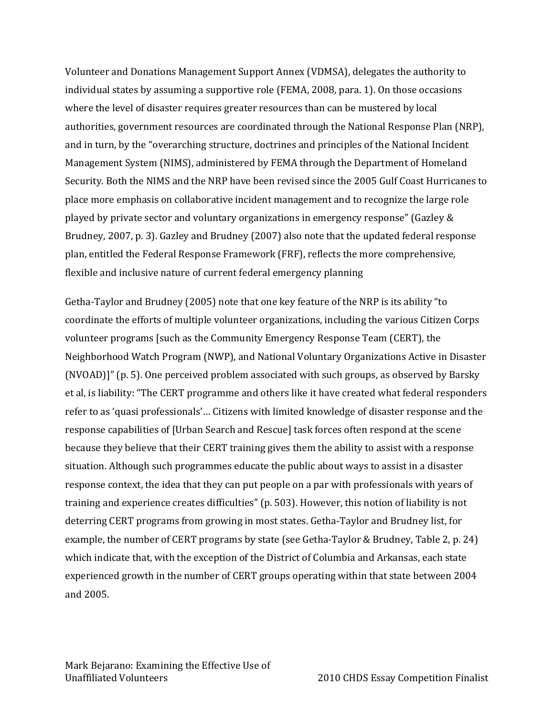Volunteer and Donations Management Support Annex (VDMSA), delegates the authority to individual states by assuming a supportive role (FEMA, 2008, para. 1). On those occasions where the level of disaster requires greater resources than can be mustered by local authorities, government resources are coordinated through the National Response Plan (NRP), and in turn, by the "overarching structure, doctrines and principles of the National Incident Management System (NIMS), administered by FEMA through the Department of Homeland Security. Both the NIMS and the NRP have been revised since the 2005 Gulf Coast Hurricanes to place more emphasis on collaborative incident management and to recognize the large role played by private sector and voluntary organizations in emergency response" (Gazley & Brudney, 2007, p. 3). Gazley and Brudney (2007) also note that the updated federal response plan, entitled the Federal Response Framework (FRF), reflects the more comprehensive, flexible and inclusive nature of current federal emergency planning

Getha-Taylor and Brudney (2005) note that one key feature of the NRP is its ability "to coordinate the efforts of multiple volunteer organizations, including the various Citizen Corps volunteer programs [such as the Community Emergency Response Team (CERT), the Neighborhood Watch Program (NWP), and National Voluntary Organizations Active in Disaster (NVOAD)]" (p. 5). One perceived problem associated with such groups, as observed by Barsky et al, is liability: "The CERT programme and others like it have created what federal responders refer to as 'quasi professionals'… Citizens with limited knowledge of disaster response and the response capabilities of [Urban Search and Rescue] task forces often respond at the scene because they believe that their CERT training gives them the ability to assist with a response situation. Although such programmes educate the public about ways to assist in a disaster response context, the idea that they can put people on a par with professionals with years of training and experience creates difficulties" (p. 503). However, this notion of liability is not deterring CERT programs from growing in most states. Getha-Taylor and Brudney list, for example, the number of CERT programs by state (see Getha-Taylor & Brudney, Table 2, p. 24) which indicate that, with the exception of the District of Columbia and Arkansas, each state experienced growth in the number of CERT groups operating within that state between 2004 and 2005.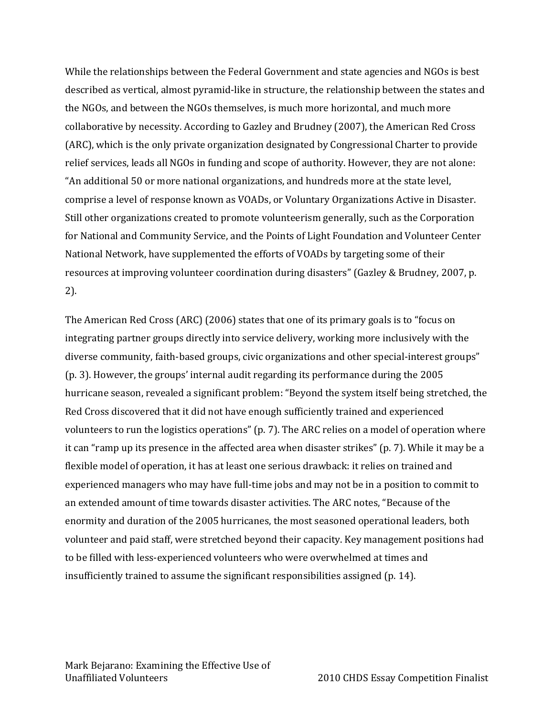While the relationships between the Federal Government and state agencies and NGOs is best described as vertical, almost pyramid-like in structure, the relationship between the states and the NGOs, and between the NGOs themselves, is much more horizontal, and much more collaborative by necessity. According to Gazley and Brudney (2007), the American Red Cross (ARC), which is the only private organization designated by Congressional Charter to provide relief services, leads all NGOs in funding and scope of authority. However, they are not alone: "An additional 50 or more national organizations, and hundreds more at the state level, comprise a level of response known as VOADs, or Voluntary Organizations Active in Disaster. Still other organizations created to promote volunteerism generally, such as the Corporation for National and Community Service, and the Points of Light Foundation and Volunteer Center National Network, have supplemented the efforts of VOADs by targeting some of their resources at improving volunteer coordination during disasters" (Gazley & Brudney, 2007, p. 2).

The American Red Cross (ARC) (2006) states that one of its primary goals is to "focus on integrating partner groups directly into service delivery, working more inclusively with the diverse community, faith-based groups, civic organizations and other special-interest groups" (p. 3). However, the groups' internal audit regarding its performance during the 2005 hurricane season, revealed a significant problem: "Beyond the system itself being stretched, the Red Cross discovered that it did not have enough sufficiently trained and experienced volunteers to run the logistics operations" (p. 7). The ARC relies on a model of operation where it can "ramp up its presence in the affected area when disaster strikes" (p. 7). While it may be a flexible model of operation, it has at least one serious drawback: it relies on trained and experienced managers who may have full-time jobs and may not be in a position to commit to an extended amount of time towards disaster activities. The ARC notes, "Because of the enormity and duration of the 2005 hurricanes, the most seasoned operational leaders, both volunteer and paid staff, were stretched beyond their capacity. Key management positions had to be filled with less-experienced volunteers who were overwhelmed at times and insufficiently trained to assume the significant responsibilities assigned (p. 14).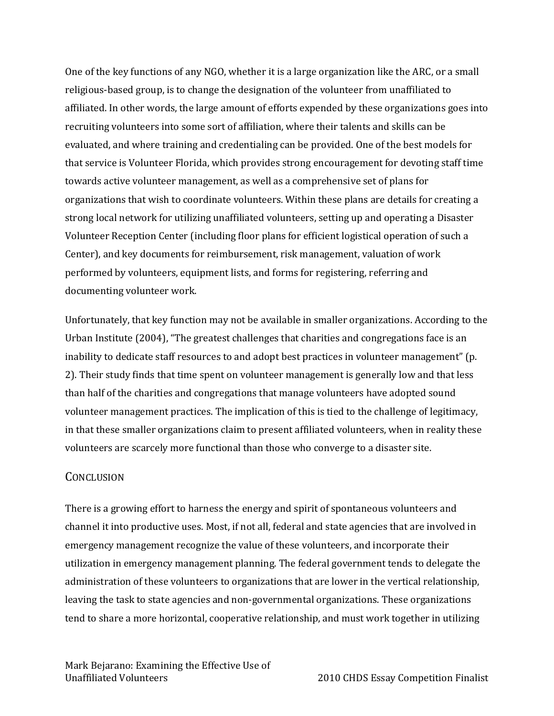One of the key functions of any NGO, whether it is a large organization like the ARC, or a small religious-based group, is to change the designation of the volunteer from unaffiliated to affiliated. In other words, the large amount of efforts expended by these organizations goes into recruiting volunteers into some sort of affiliation, where their talents and skills can be evaluated, and where training and credentialing can be provided. One of the best models for that service is Volunteer Florida, which provides strong encouragement for devoting staff time towards active volunteer management, as well as a comprehensive set of plans for organizations that wish to coordinate volunteers. Within these plans are details for creating a strong local network for utilizing unaffiliated volunteers, setting up and operating a Disaster Volunteer Reception Center (including floor plans for efficient logistical operation of such a Center), and key documents for reimbursement, risk management, valuation of work performed by volunteers, equipment lists, and forms for registering, referring and documenting volunteer work.

Unfortunately, that key function may not be available in smaller organizations. According to the Urban Institute (2004), "The greatest challenges that charities and congregations face is an inability to dedicate staff resources to and adopt best practices in volunteer management" (p. 2). Their study finds that time spent on volunteer management is generally low and that less than half of the charities and congregations that manage volunteers have adopted sound volunteer management practices. The implication of this is tied to the challenge of legitimacy, in that these smaller organizations claim to present affiliated volunteers, when in reality these volunteers are scarcely more functional than those who converge to a disaster site.

#### **CONCLUSION**

There is a growing effort to harness the energy and spirit of spontaneous volunteers and channel it into productive uses. Most, if not all, federal and state agencies that are involved in emergency management recognize the value of these volunteers, and incorporate their utilization in emergency management planning. The federal government tends to delegate the administration of these volunteers to organizations that are lower in the vertical relationship, leaving the task to state agencies and non-governmental organizations. These organizations tend to share a more horizontal, cooperative relationship, and must work together in utilizing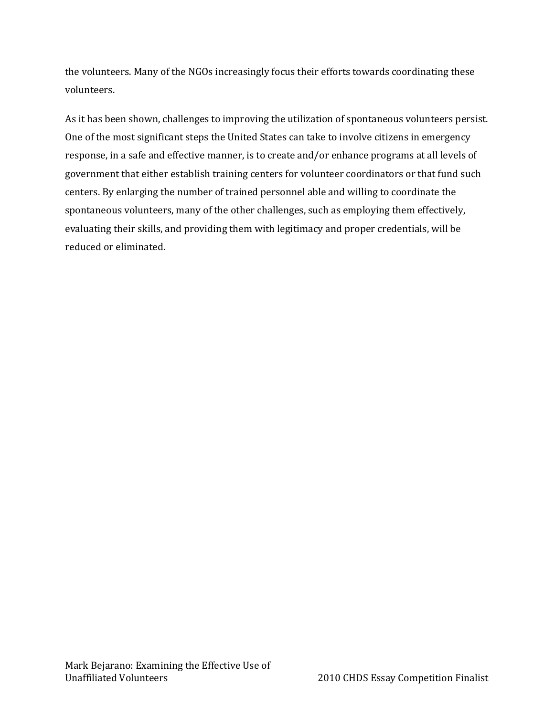the volunteers. Many of the NGOs increasingly focus their efforts towards coordinating these volunteers.

As it has been shown, challenges to improving the utilization of spontaneous volunteers persist. One of the most significant steps the United States can take to involve citizens in emergency response, in a safe and effective manner, is to create and/or enhance programs at all levels of government that either establish training centers for volunteer coordinators or that fund such centers. By enlarging the number of trained personnel able and willing to coordinate the spontaneous volunteers, many of the other challenges, such as employing them effectively, evaluating their skills, and providing them with legitimacy and proper credentials, will be reduced or eliminated.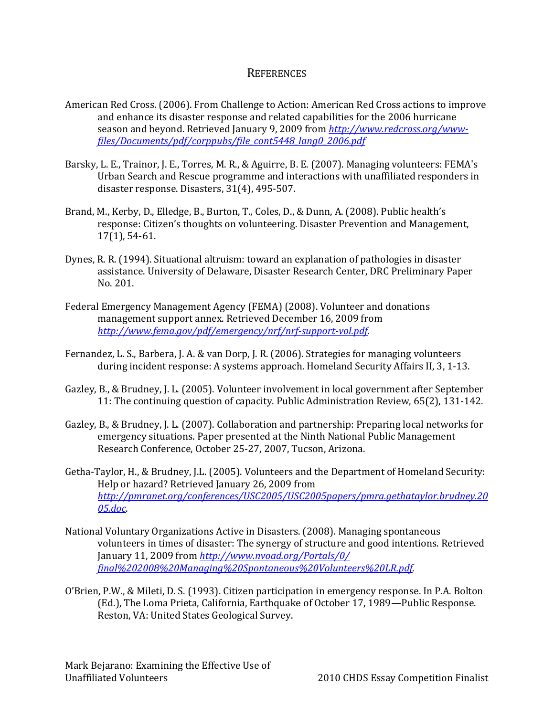#### **REFERENCES**

- American Red Cross. (2006). From Challenge to Action: American Red Cross actions to improve and enhance its disaster response and related capabilities for the 2006 hurricane season and beyond. Retrieved January 9, 2009 from *[http://www.redcross.org/www](http://www.redcross.org/www-files/Documents/pdf/corppubs/file_cont5448_lang0_2006.pdf)[files/Documents/pdf/corppubs/file\\_cont5448\\_lang0\\_2006.pdf](http://www.redcross.org/www-files/Documents/pdf/corppubs/file_cont5448_lang0_2006.pdf)*
- Barsky, L. E., Trainor, J. E., Torres, M. R., & Aguirre, B. E. (2007). Managing volunteers: FEMA's Urban Search and Rescue programme and interactions with unaffiliated responders in disaster response. Disasters, 31(4), 495-507.
- Brand, M., Kerby, D., Elledge, B., Burton, T., Coles, D., & Dunn, A. (2008). Public health's response: Citizen's thoughts on volunteering. Disaster Prevention and Management, 17(1), 54-61.
- Dynes, R. R. (1994). Situational altruism: toward an explanation of pathologies in disaster assistance. University of Delaware, Disaster Research Center, DRC Preliminary Paper No. 201.
- Federal Emergency Management Agency (FEMA) (2008). Volunteer and donations management support annex. Retrieved December 16, 2009 from *<http://www.fema.gov/pdf/emergency/nrf/nrf-support-vol.pdf>*.
- Fernandez, L. S., Barbera, J. A. & van Dorp, J. R. (2006). Strategies for managing volunteers during incident response: A systems approach. Homeland Security Affairs II, 3, 1-13.
- Gazley, B., & Brudney, J. L. (2005). Volunteer involvement in local government after September 11: The continuing question of capacity. Public Administration Review, 65(2), 131-142.
- Gazley, B., & Brudney, J. L. (2007). Collaboration and partnership: Preparing local networks for emergency situations. Paper presented at the Ninth National Public Management Research Conference, October 25-27, 2007, Tucson, Arizona.
- Getha-Taylor, H., & Brudney, J.L. (2005). Volunteers and the Department of Homeland Security: Help or hazard? Retrieved January 26, 2009 from *[http://pmranet.org/conferences/USC2005/USC2005papers/pmra.gethataylor.brudney.20](http://pmranet.org/conferences/USC2005/USC2005papers/pmra.gethataylor.brudney.2005.doc) [05.doc](http://pmranet.org/conferences/USC2005/USC2005papers/pmra.gethataylor.brudney.2005.doc)*.
- National Voluntary Organizations Active in Disasters. (2008). Managing spontaneous volunteers in times of disaster: The synergy of structure and good intentions. Retrieved January 11, 2009 from *[http://www.nvoad.org/Portals/0/](http://www.nvoad.org/Portals/0/%20final%202008%20Managing%20Spontaneous%20Volunteers%20LR.pdf)  [final%202008%20Managing%20Spontaneous%20Volunteers%20LR.pdf](http://www.nvoad.org/Portals/0/%20final%202008%20Managing%20Spontaneous%20Volunteers%20LR.pdf)*.
- O'Brien, P.W., & Mileti, D. S. (1993). Citizen participation in emergency response. In P.A. Bolton (Ed.), The Loma Prieta, California, Earthquake of October 17, 1989—Public Response. Reston, VA: United States Geological Survey.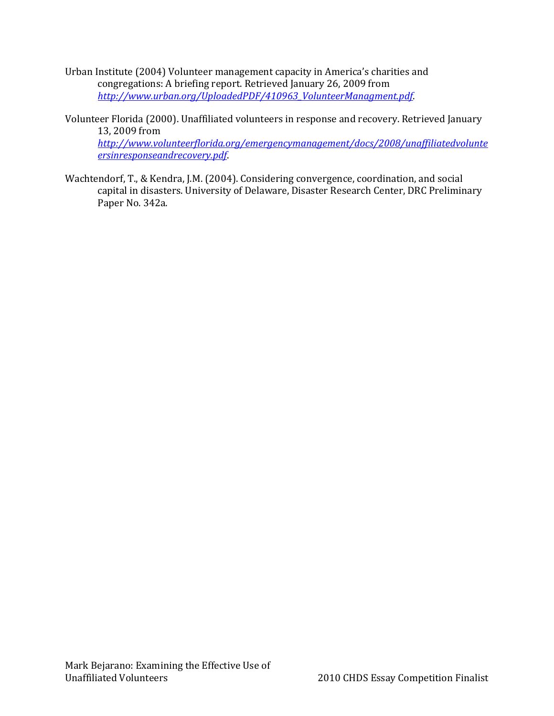- Urban Institute (2004) Volunteer management capacity in America's charities and congregations: A briefing report. Retrieved January 26, 2009 from *[http://www.urban.org/UploadedPDF/410963\\_VolunteerManagment.pdf](http://www.urban.org/UploadedPDF/410963_VolunteerManagment.pdf)*.
- Volunteer Florida (2000). Unaffiliated volunteers in response and recovery. Retrieved January 13, 2009 from *[http://www.volunteerflorida.org/emergencymanagement/docs/2008/unaffiliatedvolunte](http://www.volunteerflorida.org/emergencymanagement/docs/2008/unaffiliatedvolunteersinresponseandrecovery.pdf) [ersinresponseandrecovery.pdf](http://www.volunteerflorida.org/emergencymanagement/docs/2008/unaffiliatedvolunteersinresponseandrecovery.pdf)*.
- Wachtendorf, T., & Kendra, J.M. (2004). Considering convergence, coordination, and social capital in disasters. University of Delaware, Disaster Research Center, DRC Preliminary Paper No. 342a.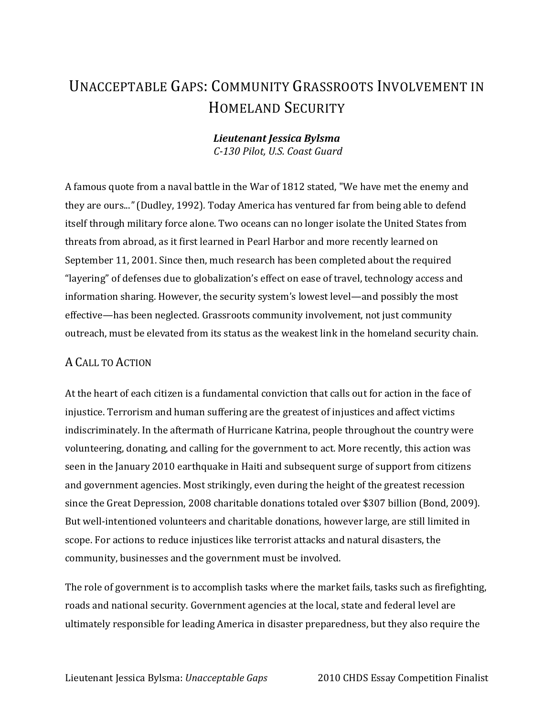# <span id="page-19-0"></span>UNACCEPTABLE GAPS: COMMUNITY GRASSROOTS INVOLVEMENT IN HOMELAND SECURITY

#### *Lieutenant Jessica Bylsma C-130 Pilot, U.S. Coast Guard*

A famous quote from a naval battle in the War of 1812 stated, "We have met the enemy and they are ours...*"* (Dudley, 1992)*.* Today America has ventured far from being able to defend itself through military force alone. Two oceans can no longer isolate the United States from threats from abroad, as it first learned in Pearl Harbor and more recently learned on September 11, 2001. Since then, much research has been completed about the required "layering" of defenses due to globalization's effect on ease of travel, technology access and information sharing. However, the security system's lowest level—and possibly the most effective—has been neglected. Grassroots community involvement, not just community outreach, must be elevated from its status as the weakest link in the homeland security chain.

# A CALL TO ACTION

At the heart of each citizen is a fundamental conviction that calls out for action in the face of injustice. Terrorism and human suffering are the greatest of injustices and affect victims indiscriminately. In the aftermath of Hurricane Katrina, people throughout the country were volunteering, donating, and calling for the government to act. More recently, this action was seen in the January 2010 earthquake in Haiti and subsequent surge of support from citizens and government agencies. Most strikingly, even during the height of the greatest recession since the Great Depression, 2008 charitable donations totaled over \$307 billion (Bond, 2009). But well-intentioned volunteers and charitable donations, however large, are still limited in scope. For actions to reduce injustices like terrorist attacks and natural disasters, the community, businesses and the government must be involved.

The role of government is to accomplish tasks where the market fails, tasks such as firefighting, roads and national security. Government agencies at the local, state and federal level are ultimately responsible for leading America in disaster preparedness, but they also require the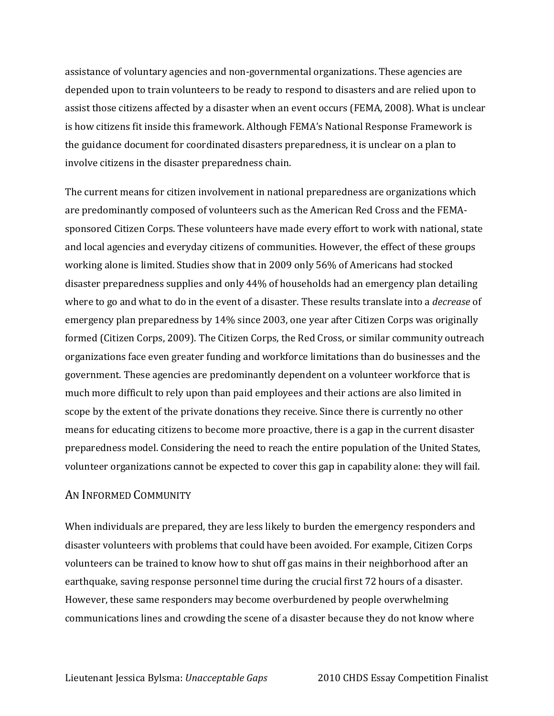assistance of voluntary agencies and non-governmental organizations. These agencies are depended upon to train volunteers to be ready to respond to disasters and are relied upon to assist those citizens affected by a disaster when an event occurs (FEMA, 2008). What is unclear is how citizens fit inside this framework. Although FEMA's National Response Framework is the guidance document for coordinated disasters preparedness, it is unclear on a plan to involve citizens in the disaster preparedness chain.

The current means for citizen involvement in national preparedness are organizations which are predominantly composed of volunteers such as the American Red Cross and the FEMAsponsored Citizen Corps. These volunteers have made every effort to work with national, state and local agencies and everyday citizens of communities. However, the effect of these groups working alone is limited. Studies show that in 2009 only 56% of Americans had stocked disaster preparedness supplies and only 44% of households had an emergency plan detailing where to go and what to do in the event of a disaster. These results translate into a *decrease* of emergency plan preparedness by 14% since 2003, one year after Citizen Corps was originally formed (Citizen Corps, 2009). The Citizen Corps, the Red Cross, or similar community outreach organizations face even greater funding and workforce limitations than do businesses and the government. These agencies are predominantly dependent on a volunteer workforce that is much more difficult to rely upon than paid employees and their actions are also limited in scope by the extent of the private donations they receive. Since there is currently no other means for educating citizens to become more proactive, there is a gap in the current disaster preparedness model. Considering the need to reach the entire population of the United States, volunteer organizations cannot be expected to cover this gap in capability alone: they will fail.

#### AN INFORMED COMMUNITY

When individuals are prepared, they are less likely to burden the emergency responders and disaster volunteers with problems that could have been avoided. For example, Citizen Corps volunteers can be trained to know how to shut off gas mains in their neighborhood after an earthquake, saving response personnel time during the crucial first 72 hours of a disaster. However, these same responders may become overburdened by people overwhelming communications lines and crowding the scene of a disaster because they do not know where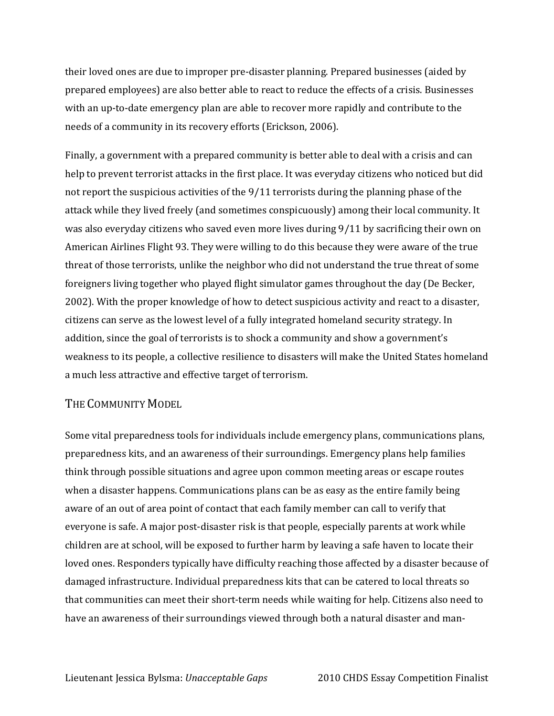their loved ones are due to improper pre-disaster planning. Prepared businesses (aided by prepared employees) are also better able to react to reduce the effects of a crisis. Businesses with an up-to-date emergency plan are able to recover more rapidly and contribute to the needs of a community in its recovery efforts (Erickson, 2006).

Finally, a government with a prepared community is better able to deal with a crisis and can help to prevent terrorist attacks in the first place. It was everyday citizens who noticed but did not report the suspicious activities of the 9/11 terrorists during the planning phase of the attack while they lived freely (and sometimes conspicuously) among their local community. It was also everyday citizens who saved even more lives during 9/11 by sacrificing their own on American Airlines Flight 93. They were willing to do this because they were aware of the true threat of those terrorists, unlike the neighbor who did not understand the true threat of some foreigners living together who played flight simulator games throughout the day (De Becker, 2002). With the proper knowledge of how to detect suspicious activity and react to a disaster, citizens can serve as the lowest level of a fully integrated homeland security strategy. In addition, since the goal of terrorists is to shock a community and show a government's weakness to its people, a collective resilience to disasters will make the United States homeland a much less attractive and effective target of terrorism.

#### THE COMMUNITY MODEL

Some vital preparedness tools for individuals include emergency plans, communications plans, preparedness kits, and an awareness of their surroundings. Emergency plans help families think through possible situations and agree upon common meeting areas or escape routes when a disaster happens. Communications plans can be as easy as the entire family being aware of an out of area point of contact that each family member can call to verify that everyone is safe. A major post-disaster risk is that people, especially parents at work while children are at school, will be exposed to further harm by leaving a safe haven to locate their loved ones. Responders typically have difficulty reaching those affected by a disaster because of damaged infrastructure. Individual preparedness kits that can be catered to local threats so that communities can meet their short-term needs while waiting for help. Citizens also need to have an awareness of their surroundings viewed through both a natural disaster and man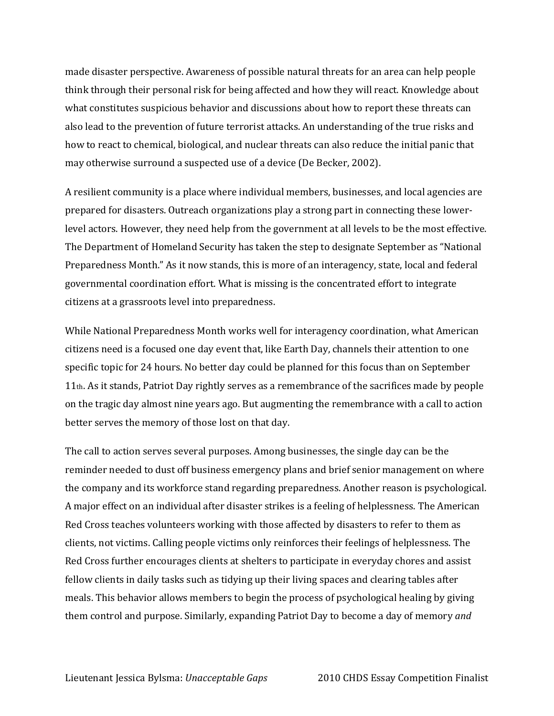made disaster perspective. Awareness of possible natural threats for an area can help people think through their personal risk for being affected and how they will react. Knowledge about what constitutes suspicious behavior and discussions about how to report these threats can also lead to the prevention of future terrorist attacks. An understanding of the true risks and how to react to chemical, biological, and nuclear threats can also reduce the initial panic that may otherwise surround a suspected use of a device (De Becker, 2002).

A resilient community is a place where individual members, businesses, and local agencies are prepared for disasters. Outreach organizations play a strong part in connecting these lowerlevel actors. However, they need help from the government at all levels to be the most effective. The Department of Homeland Security has taken the step to designate September as "National Preparedness Month." As it now stands, this is more of an interagency, state, local and federal governmental coordination effort. What is missing is the concentrated effort to integrate citizens at a grassroots level into preparedness.

While National Preparedness Month works well for interagency coordination, what American citizens need is a focused one day event that, like Earth Day, channels their attention to one specific topic for 24 hours. No better day could be planned for this focus than on September 11th. As it stands, Patriot Day rightly serves as a remembrance of the sacrifices made by people on the tragic day almost nine years ago. But augmenting the remembrance with a call to action better serves the memory of those lost on that day.

The call to action serves several purposes. Among businesses, the single day can be the reminder needed to dust off business emergency plans and brief senior management on where the company and its workforce stand regarding preparedness. Another reason is psychological. A major effect on an individual after disaster strikes is a feeling of helplessness. The American Red Cross teaches volunteers working with those affected by disasters to refer to them as clients, not victims. Calling people victims only reinforces their feelings of helplessness. The Red Cross further encourages clients at shelters to participate in everyday chores and assist fellow clients in daily tasks such as tidying up their living spaces and clearing tables after meals. This behavior allows members to begin the process of psychological healing by giving them control and purpose. Similarly, expanding Patriot Day to become a day of memory *and*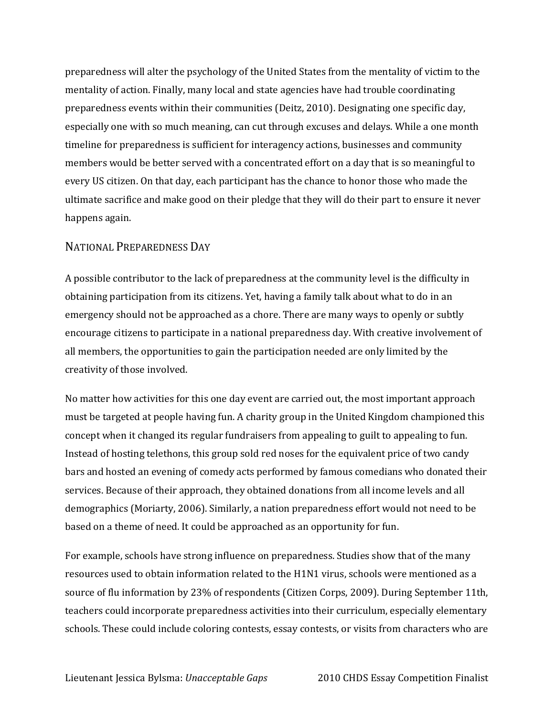preparedness will alter the psychology of the United States from the mentality of victim to the mentality of action. Finally, many local and state agencies have had trouble coordinating preparedness events within their communities (Deitz, 2010). Designating one specific day, especially one with so much meaning, can cut through excuses and delays. While a one month timeline for preparedness is sufficient for interagency actions, businesses and community members would be better served with a concentrated effort on a day that is so meaningful to every US citizen. On that day, each participant has the chance to honor those who made the ultimate sacrifice and make good on their pledge that they will do their part to ensure it never happens again.

#### NATIONAL PREPAREDNESS DAY

A possible contributor to the lack of preparedness at the community level is the difficulty in obtaining participation from its citizens. Yet, having a family talk about what to do in an emergency should not be approached as a chore. There are many ways to openly or subtly encourage citizens to participate in a national preparedness day. With creative involvement of all members, the opportunities to gain the participation needed are only limited by the creativity of those involved.

No matter how activities for this one day event are carried out, the most important approach must be targeted at people having fun. A charity group in the United Kingdom championed this concept when it changed its regular fundraisers from appealing to guilt to appealing to fun. Instead of hosting telethons, this group sold red noses for the equivalent price of two candy bars and hosted an evening of comedy acts performed by famous comedians who donated their services. Because of their approach, they obtained donations from all income levels and all demographics (Moriarty, 2006). Similarly, a nation preparedness effort would not need to be based on a theme of need. It could be approached as an opportunity for fun.

For example, schools have strong influence on preparedness. Studies show that of the many resources used to obtain information related to the H1N1 virus, schools were mentioned as a source of flu information by 23% of respondents (Citizen Corps, 2009). During September 11th, teachers could incorporate preparedness activities into their curriculum, especially elementary schools. These could include coloring contests, essay contests, or visits from characters who are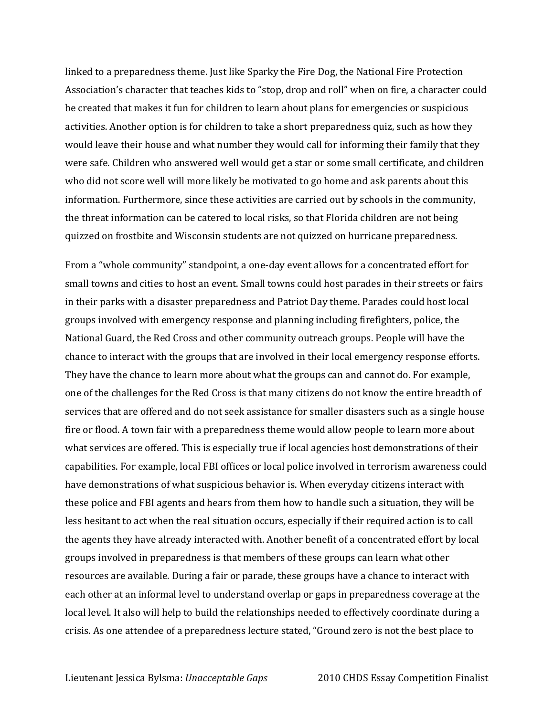linked to a preparedness theme. Just like Sparky the Fire Dog, the National Fire Protection Association's character that teaches kids to "stop, drop and roll" when on fire, a character could be created that makes it fun for children to learn about plans for emergencies or suspicious activities. Another option is for children to take a short preparedness quiz, such as how they would leave their house and what number they would call for informing their family that they were safe. Children who answered well would get a star or some small certificate, and children who did not score well will more likely be motivated to go home and ask parents about this information. Furthermore, since these activities are carried out by schools in the community, the threat information can be catered to local risks, so that Florida children are not being quizzed on frostbite and Wisconsin students are not quizzed on hurricane preparedness.

From a "whole community" standpoint, a one-day event allows for a concentrated effort for small towns and cities to host an event. Small towns could host parades in their streets or fairs in their parks with a disaster preparedness and Patriot Day theme. Parades could host local groups involved with emergency response and planning including firefighters, police, the National Guard, the Red Cross and other community outreach groups. People will have the chance to interact with the groups that are involved in their local emergency response efforts. They have the chance to learn more about what the groups can and cannot do. For example, one of the challenges for the Red Cross is that many citizens do not know the entire breadth of services that are offered and do not seek assistance for smaller disasters such as a single house fire or flood. A town fair with a preparedness theme would allow people to learn more about what services are offered. This is especially true if local agencies host demonstrations of their capabilities. For example, local FBI offices or local police involved in terrorism awareness could have demonstrations of what suspicious behavior is. When everyday citizens interact with these police and FBI agents and hears from them how to handle such a situation, they will be less hesitant to act when the real situation occurs, especially if their required action is to call the agents they have already interacted with. Another benefit of a concentrated effort by local groups involved in preparedness is that members of these groups can learn what other resources are available. During a fair or parade, these groups have a chance to interact with each other at an informal level to understand overlap or gaps in preparedness coverage at the local level. It also will help to build the relationships needed to effectively coordinate during a crisis. As one attendee of a preparedness lecture stated, "Ground zero is not the best place to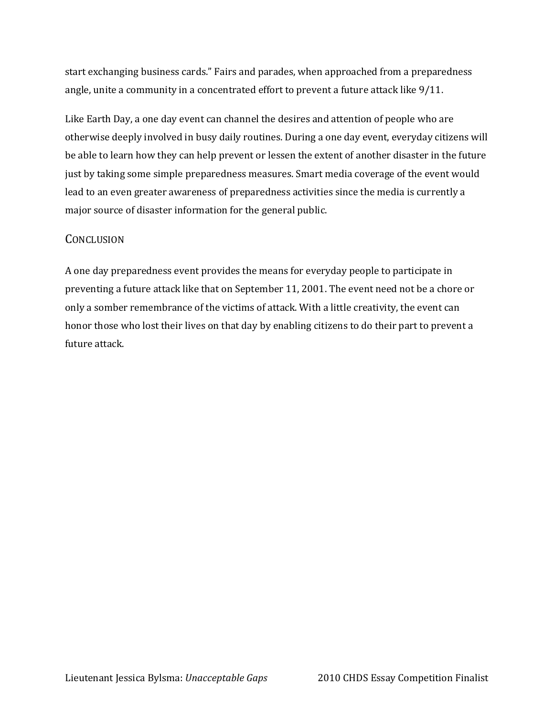start exchanging business cards." Fairs and parades, when approached from a preparedness angle, unite a community in a concentrated effort to prevent a future attack like 9/11.

Like Earth Day, a one day event can channel the desires and attention of people who are otherwise deeply involved in busy daily routines. During a one day event, everyday citizens will be able to learn how they can help prevent or lessen the extent of another disaster in the future just by taking some simple preparedness measures. Smart media coverage of the event would lead to an even greater awareness of preparedness activities since the media is currently a major source of disaster information for the general public.

#### **CONCLUSION**

A one day preparedness event provides the means for everyday people to participate in preventing a future attack like that on September 11, 2001. The event need not be a chore or only a somber remembrance of the victims of attack. With a little creativity, the event can honor those who lost their lives on that day by enabling citizens to do their part to prevent a future attack.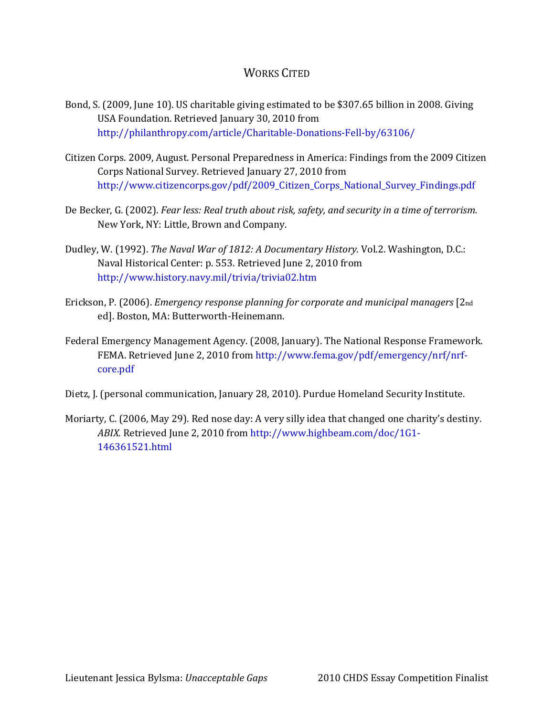# WORKS CITED

- Bond, S. (2009, June 10). US charitable giving estimated to be \$307.65 billion in 2008. Giving USA Foundation. Retrieved January 30, 2010 from http://philanthropy.com/article/Charitable-Donations-Fell-by/63106/
- Citizen Corps. 2009, August. Personal Preparedness in America: Findings from the 2009 Citizen Corps National Survey. Retrieved January 27, 2010 from http://www.citizencorps.gov/pdf/2009\_Citizen\_Corps\_National\_Survey\_Findings.pdf
- De Becker, G. (2002). *Fear less: Real truth about risk, safety, and security in a time of terrorism.*  New York, NY: Little, Brown and Company.
- Dudley, W. (1992). *The Naval War of 1812: A Documentary History.* Vol.2. Washington, D.C.: Naval Historical Center: p. 553. Retrieved June 2, 2010 from http://www.history.navy.mil/trivia/trivia02.htm
- Erickson, P. (2006). *Emergency response planning for corporate and municipal managers* [2nd ed]. Boston, MA: Butterworth-Heinemann.
- Federal Emergency Management Agency. (2008, January). The National Response Framework. FEMA. Retrieved June 2, 2010 from http://www.fema.gov/pdf/emergency/nrf/nrfcore.pdf
- Dietz, J. (personal communication, January 28, 2010). Purdue Homeland Security Institute.
- Moriarty, C. (2006, May 29). Red nose day: A very silly idea that changed one charity's destiny. *ABIX.* Retrieved June 2, 2010 from http://www.highbeam.com/doc/1G1- 146361521.html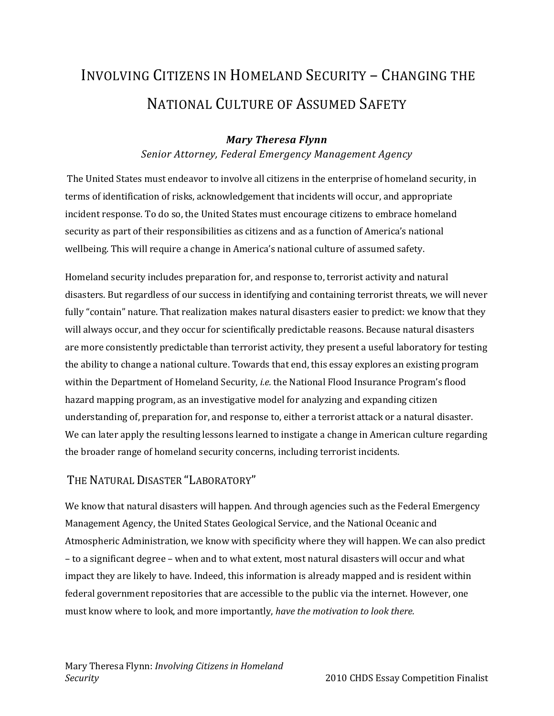# <span id="page-27-0"></span>INVOLVING CITIZENS IN HOMELAND SECURITY – CHANGING THE NATIONAL CULTURE OF ASSUMED SAFETY

#### *Mary Theresa Flynn*

*Senior Attorney, Federal Emergency Management Agency*

The United States must endeavor to involve all citizens in the enterprise of homeland security, in terms of identification of risks, acknowledgement that incidents will occur, and appropriate incident response. To do so, the United States must encourage citizens to embrace homeland security as part of their responsibilities as citizens and as a function of America's national wellbeing. This will require a change in America's national culture of assumed safety.

Homeland security includes preparation for, and response to, terrorist activity and natural disasters. But regardless of our success in identifying and containing terrorist threats, we will never fully "contain" nature. That realization makes natural disasters easier to predict: we know that they will always occur, and they occur for scientifically predictable reasons. Because natural disasters are more consistently predictable than terrorist activity, they present a useful laboratory for testing the ability to change a national culture. Towards that end, this essay explores an existing program within the Department of Homeland Security, *i.e.* the National Flood Insurance Program's flood hazard mapping program, as an investigative model for analyzing and expanding citizen understanding of, preparation for, and response to, either a terrorist attack or a natural disaster. We can later apply the resulting lessons learned to instigate a change in American culture regarding the broader range of homeland security concerns, including terrorist incidents.

#### THE NATURAL DISASTER "LABORATORY"

We know that natural disasters will happen. And through agencies such as the Federal Emergency Management Agency, the United States Geological Service, and the National Oceanic and Atmospheric Administration, we know with specificity where they will happen. We can also predict – to a significant degree – when and to what extent, most natural disasters will occur and what impact they are likely to have. Indeed, this information is already mapped and is resident within federal government repositories that are accessible to the public via the internet. However, one must know where to look, and more importantly, *have the motivation to look there.*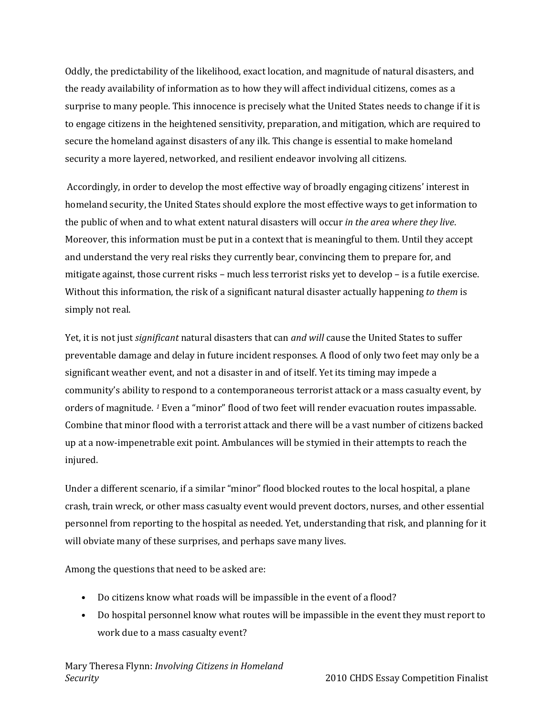Oddly, the predictability of the likelihood, exact location, and magnitude of natural disasters, and the ready availability of information as to how they will affect individual citizens, comes as a surprise to many people. This innocence is precisely what the United States needs to change if it is to engage citizens in the heightened sensitivity, preparation, and mitigation, which are required to secure the homeland against disasters of any ilk. This change is essential to make homeland security a more layered, networked, and resilient endeavor involving all citizens*.*

Accordingly, in order to develop the most effective way of broadly engaging citizens' interest in homeland security, the United States should explore the most effective ways to get information to the public of when and to what extent natural disasters will occur *in the area where they live*. Moreover, this information must be put in a context that is meaningful to them. Until they accept and understand the very real risks they currently bear, convincing them to prepare for, and mitigate against, those current risks – much less terrorist risks yet to develop – is a futile exercise. Without this information, the risk of a significant natural disaster actually happening *to them* is simply not real.

Yet, it is not just *significant* natural disasters that can *and will* cause the United States to suffer preventable damage and delay in future incident responses. A flood of only two feet may only be a significant weather event, and not a disaster in and of itself. Yet its timing may impede a community's ability to respond to a contemporaneous terrorist attack or a mass casualty event, by orders of magnitude. *[1](#page-33-0)* Even a "minor" flood of two feet will render evacuation routes impassable. Combine that minor flood with a terrorist attack and there will be a vast number of citizens backed up at a now-impenetrable exit point. Ambulances will be stymied in their attempts to reach the injured.

Under a different scenario, if a similar "minor" flood blocked routes to the local hospital, a plane crash, train wreck, or other mass casualty event would prevent doctors, nurses, and other essential personnel from reporting to the hospital as needed. Yet, understanding that risk, and planning for it will obviate many of these surprises, and perhaps save many lives.

Among the questions that need to be asked are:

- Do citizens know what roads will be impassible in the event of a flood?
- Do hospital personnel know what routes will be impassible in the event they must report to work due to a mass casualty event?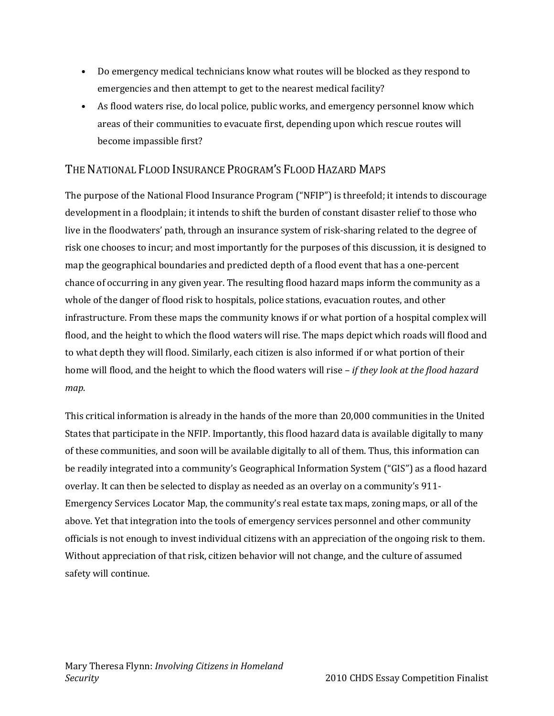- Do emergency medical technicians know what routes will be blocked as they respond to emergencies and then attempt to get to the nearest medical facility?
- As flood waters rise, do local police, public works, and emergency personnel know which areas of their communities to evacuate first, depending upon which rescue routes will become impassible first?

### THE NATIONAL FLOOD INSURANCE PROGRAM'S FLOOD HAZARD MAPS

The purpose of the National Flood Insurance Program ("NFIP") is threefold; it intends to discourage development in a floodplain; it intends to shift the burden of constant disaster relief to those who live in the floodwaters' path, through an insurance system of risk-sharing related to the degree of risk one chooses to incur; and most importantly for the purposes of this discussion, it is designed to map the geographical boundaries and predicted depth of a flood event that has a one-percent chance of occurring in any given year. The resulting flood hazard maps inform the community as a whole of the danger of flood risk to hospitals, police stations, evacuation routes, and other infrastructure. From these maps the community knows if or what portion of a hospital complex will flood, and the height to which the flood waters will rise. The maps depict which roads will flood and to what depth they will flood. Similarly, each citizen is also informed if or what portion of their home will flood, and the height to which the flood waters will rise – *if they look at the flood hazard map*.

This critical information is already in the hands of the more than 20,000 communities in the United States that participate in the NFIP. Importantly, this flood hazard data is available digitally to many of these communities, and soon will be available digitally to all of them. Thus, this information can be readily integrated into a community's Geographical Information System ("GIS") as a flood hazard overlay. It can then be selected to display as needed as an overlay on a community's 911- Emergency Services Locator Map, the community's real estate tax maps, zoning maps, or all of the above. Yet that integration into the tools of emergency services personnel and other community officials is not enough to invest individual citizens with an appreciation of the ongoing risk to them. Without appreciation of that risk, citizen behavior will not change, and the culture of assumed safety will continue.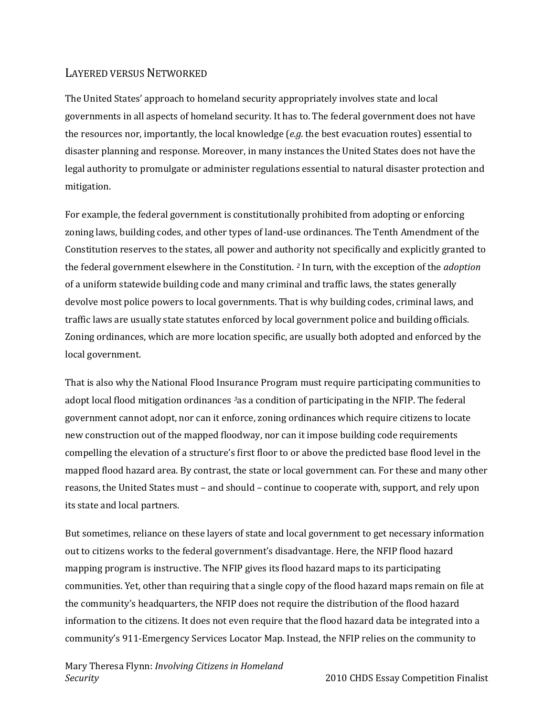#### LAYERED VERSUS NETWORKED

<span id="page-30-0"></span>The United States' approach to homeland security appropriately involves state and local governments in all aspects of homeland security. It has to. The federal government does not have the resources nor, importantly, the local knowledge (*e.g.* the best evacuation routes) essential to disaster planning and response. Moreover, in many instances the United States does not have the legal authority to promulgate or administer regulations essential to natural disaster protection and mitigation.

For example, the federal government is constitutionally prohibited from adopting or enforcing zoning laws, building codes, and other types of land-use ordinances. The Tenth Amendment of the Constitution reserves to the states, all power and authority not specifically and explicitly granted to the federal government elsewhere in the Constitution. *[2](#page-31-0)* In turn, with the exception of the *adoption*  of a uniform statewide building code and many criminal and traffic laws, the states generally devolve most police powers to local governments. That is why building codes, criminal laws, and traffic laws are usually state statutes enforced by local government police and building officials. Zoning ordinances, which are more location specific, are usually both adopted and enforced by the local government.

That is also why the National Flood Insurance Program must require participating communities to adopt local flood mitigation ordinances *[3](#page-31-1)*as a condition of participating in the NFIP. The federal government cannot adopt, nor can it enforce, zoning ordinances which require citizens to locate new construction out of the mapped floodway, nor can it impose building code requirements compelling the elevation of a structure's first floor to or above the predicted base flood level in the mapped flood hazard area. By contrast, the state or local government can. For these and many other reasons, the United States must – and should – continue to cooperate with, support, and rely upon its state and local partners.

But sometimes, reliance on these layers of state and local government to get necessary information out to citizens works to the federal government's disadvantage. Here, the NFIP flood hazard mapping program is instructive. The NFIP gives its flood hazard maps to its participating communities. Yet, other than requiring that a single copy of the flood hazard maps remain on file at the community's headquarters, the NFIP does not require the distribution of the flood hazard information to the citizens. It does not even require that the flood hazard data be integrated into a community's 911-Emergency Services Locator Map. Instead, the NFIP relies on the community to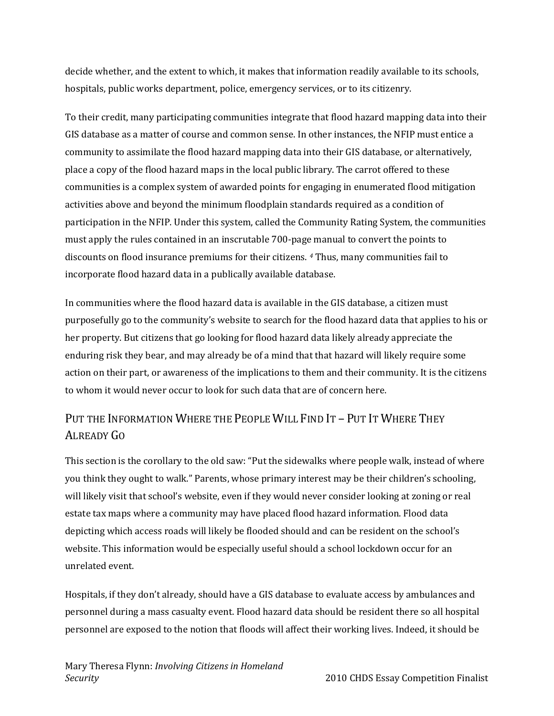decide whether, and the extent to which, it makes that information readily available to its schools, hospitals, public works department, police, emergency services, or to its citizenry.

<span id="page-31-1"></span><span id="page-31-0"></span>To their credit, many participating communities integrate that flood hazard mapping data into their GIS database as a matter of course and common sense. In other instances, the NFIP must entice a community to assimilate the flood hazard mapping data into their GIS database, or alternatively, place a copy of the flood hazard maps in the local public library. The carrot offered to these communities is a complex system of awarded points for engaging in enumerated flood mitigation activities above and beyond the minimum floodplain standards required as a condition of participation in the NFIP. Under this system, called the Community Rating System, the communities must apply the rules contained in an inscrutable 700-page manual to convert the points to discounts on flood insurance premiums for their citizens. *[4](#page-33-0)* Thus, many communities fail to incorporate flood hazard data in a publically available database.

In communities where the flood hazard data is available in the GIS database, a citizen must purposefully go to the community's website to search for the flood hazard data that applies to his or her property. But citizens that go looking for flood hazard data likely already appreciate the enduring risk they bear, and may already be of a mind that that hazard will likely require some action on their part, or awareness of the implications to them and their community. It is the citizens to whom it would never occur to look for such data that are of concern here.

# PUT THE INFORMATION WHERE THE PEOPLE WILL FIND IT – PUT IT WHERE THEY ALREADY GO

This section is the corollary to the old saw: "Put the sidewalks where people walk, instead of where you think they ought to walk." Parents, whose primary interest may be their children's schooling, will likely visit that school's website, even if they would never consider looking at zoning or real estate tax maps where a community may have placed flood hazard information. Flood data depicting which access roads will likely be flooded should and can be resident on the school's website. This information would be especially useful should a school lockdown occur for an unrelated event.

Hospitals, if they don't already, should have a GIS database to evaluate access by ambulances and personnel during a mass casualty event. Flood hazard data should be resident there so all hospital personnel are exposed to the notion that floods will affect their working lives. Indeed, it should be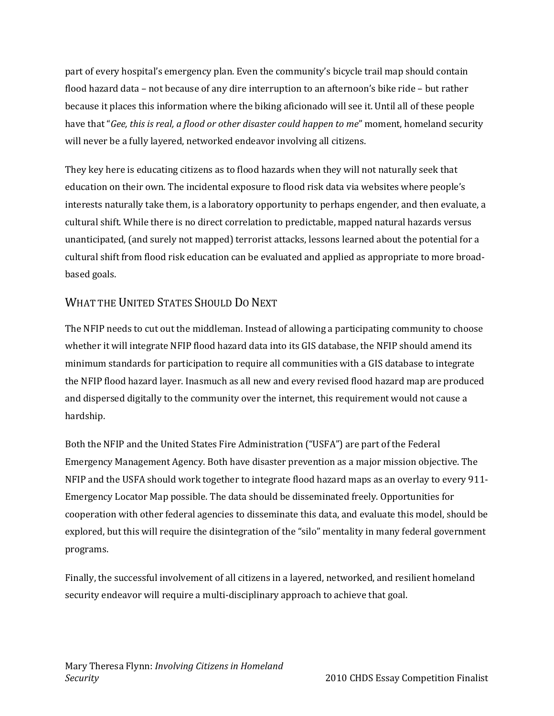part of every hospital's emergency plan. Even the community's bicycle trail map should contain flood hazard data – not because of any dire interruption to an afternoon's bike ride – but rather because it places this information where the biking aficionado will see it. Until all of these people have that "*Gee, this is real, a flood or other disaster could happen to me*" moment, homeland security will never be a fully layered, networked endeavor involving all citizens.

<span id="page-32-0"></span>They key here is educating citizens as to flood hazards when they will not naturally seek that education on their own. The incidental exposure to flood risk data via websites where people's interests naturally take them, is a laboratory opportunity to perhaps engender, and then evaluate, a cultural shift. While there is no direct correlation to predictable, mapped natural hazards versus unanticipated, (and surely not mapped) terrorist attacks, lessons learned about the potential for a cultural shift from flood risk education can be evaluated and applied as appropriate to more broadbased goals.

# WHAT THE UNITED STATES SHOULD DO NEXT

The NFIP needs to cut out the middleman. Instead of allowing a participating community to choose whether it will integrate NFIP flood hazard data into its GIS database, the NFIP should amend its minimum standards for participation to require all communities with a GIS database to integrate the NFIP flood hazard layer. Inasmuch as all new and every revised flood hazard map are produced and dispersed digitally to the community over the internet, this requirement would not cause a hardship.

Both the NFIP and the United States Fire Administration ("USFA") are part of the Federal Emergency Management Agency. Both have disaster prevention as a major mission objective. The NFIP and the USFA should work together to integrate flood hazard maps as an overlay to every 911- Emergency Locator Map possible. The data should be disseminated freely. Opportunities for cooperation with other federal agencies to disseminate this data, and evaluate this model, should be explored, but this will require the disintegration of the "silo" mentality in many federal government programs.

Finally, the successful involvement of all citizens in a layered, networked, and resilient homeland security endeavor will require a multi-disciplinary approach to achieve that goal.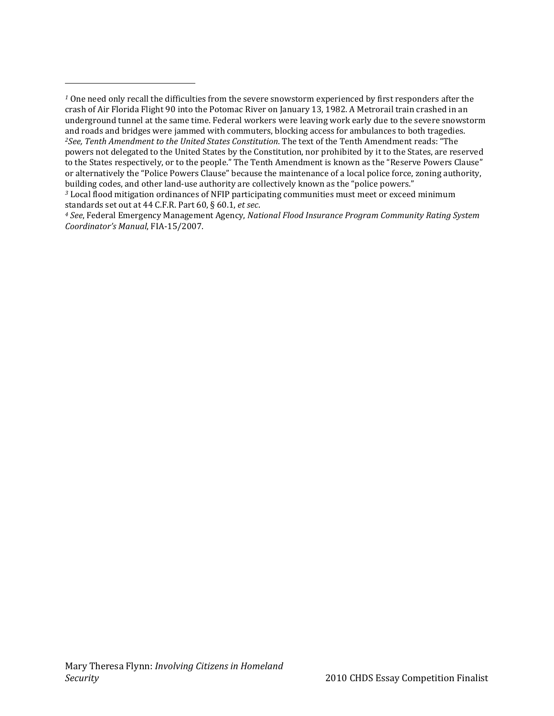<span id="page-33-0"></span>j

standards set out at 44 C.F.R. Part 60, § 60.1, *et sec*. *<sup>4</sup> See*, Federal Emergency Management Agency, *National Flood Insurance Program Community Rating System Coordinator's Manual*, FIA-15/2007.

*<sup>1</sup>* One need only recall the difficulties from the severe snowstorm experienced by first responders after the crash of Air Florida Flight 90 into the Potomac River on January 13, 1982. A Metrorail train crashed in an underground tunnel at the same time. Federal workers were leaving work early due to the severe snowstorm<br>and roads and bridges were jammed with commuters, blocking access for ambulances to both tragedies. <sup>2</sup>See, Tenth Amendment to the United States Constitution. The text of the Tenth Amendment reads: "The powers not delegated to the United States by the Constitution, nor prohibited by it to the States, are reserved to the States respectively, or to the people." The Tenth Amendment is known as the "Reserve Powers Clause" or alternatively the "Police Powers Clause" because the maintenance of a local police force, zoning authority,<br>building codes, and other land-use authority are collectively known as the "police powers." <sup>3</sup> Local flood mitigation ordinances of NFIP participating communities must meet or exceed minimum standards set out at 44 C.F.R. Part 60, § 60.1, *et sec*.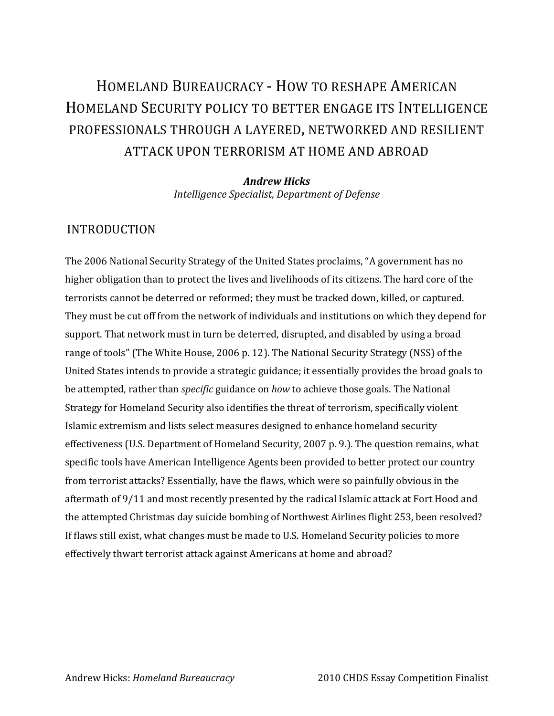# <span id="page-34-0"></span>HOMELAND BUREAUCRACY - HOW TO RESHAPE AMERICAN HOMELAND SECURITY POLICY TO BETTER ENGAGE ITS INTELLIGENCE PROFESSIONALS THROUGH A LAYERED, NETWORKED AND RESILIENT ATTACK UPON TERRORISM AT HOME AND ABROAD

*Andrew Hicks Intelligence Specialist, Department of Defense*

# INTRODUCTION

The 2006 National Security Strategy of the United States proclaims, "A government has no higher obligation than to protect the lives and livelihoods of its citizens. The hard core of the terrorists cannot be deterred or reformed; they must be tracked down, killed, or captured. They must be cut off from the network of individuals and institutions on which they depend for support. That network must in turn be deterred, disrupted, and disabled by using a broad range of tools" (The White House, 2006 p. 12). The National Security Strategy (NSS) of the United States intends to provide a strategic guidance; it essentially provides the broad goals to be attempted, rather than *specific* guidance on *how* to achieve those goals. The National Strategy for Homeland Security also identifies the threat of terrorism, specifically violent Islamic extremism and lists select measures designed to enhance homeland security effectiveness (U.S. Department of Homeland Security, 2007 p. 9.). The question remains, what specific tools have American Intelligence Agents been provided to better protect our country from terrorist attacks? Essentially, have the flaws, which were so painfully obvious in the aftermath of 9/11 and most recently presented by the radical Islamic attack at Fort Hood and the attempted Christmas day suicide bombing of Northwest Airlines flight 253, been resolved? If flaws still exist, what changes must be made to U.S. Homeland Security policies to more effectively thwart terrorist attack against Americans at home and abroad?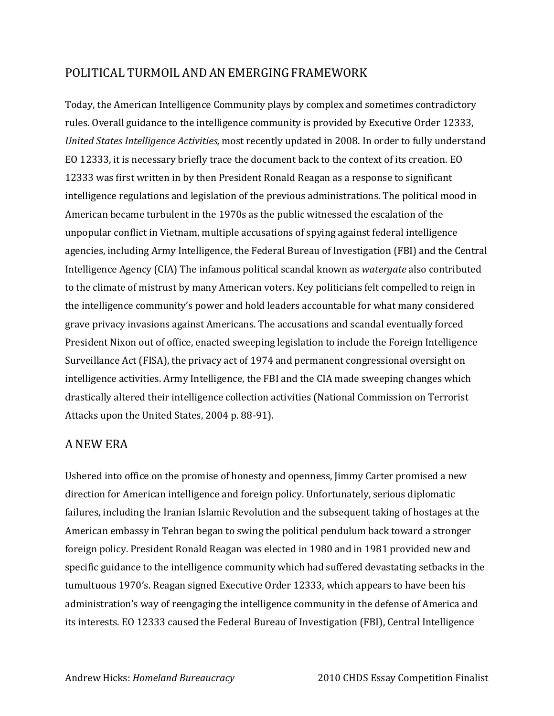# POLITICAL TURMOIL AND AN EMERGING FRAMEWORK

Today, the American Intelligence Community plays by complex and sometimes contradictory rules. Overall guidance to the intelligence community is provided by Executive Order 12333, *United States Intelligence Activities,* most recently updated in 2008. In order to fully understand EO 12333, it is necessary briefly trace the document back to the context of its creation. EO 12333 was first written in by then President Ronald Reagan as a response to significant intelligence regulations and legislation of the previous administrations. The political mood in American became turbulent in the 1970s as the public witnessed the escalation of the unpopular conflict in Vietnam, multiple accusations of spying against federal intelligence agencies, including Army Intelligence, the Federal Bureau of Investigation (FBI) and the Central Intelligence Agency (CIA) The infamous political scandal known as *watergate* also contributed to the climate of mistrust by many American voters. Key politicians felt compelled to reign in the intelligence community's power and hold leaders accountable for what many considered grave privacy invasions against Americans. The accusations and scandal eventually forced President Nixon out of office, enacted sweeping legislation to include the Foreign Intelligence Surveillance Act (FISA), the privacy act of 1974 and permanent congressional oversight on intelligence activities. Army Intelligence, the FBI and the CIA made sweeping changes which drastically altered their intelligence collection activities (National Commission on Terrorist Attacks upon the United States, 2004 p. 88-91).

# A NEW ERA

Ushered into office on the promise of honesty and openness, Jimmy Carter promised a new direction for American intelligence and foreign policy. Unfortunately, serious diplomatic failures, including the Iranian Islamic Revolution and the subsequent taking of hostages at the American embassy in Tehran began to swing the political pendulum back toward a stronger foreign policy. President Ronald Reagan was elected in 1980 and in 1981 provided new and specific guidance to the intelligence community which had suffered devastating setbacks in the tumultuous 1970's. Reagan signed Executive Order 12333, which appears to have been his administration's way of reengaging the intelligence community in the defense of America and its interests. EO 12333 caused the Federal Bureau of Investigation (FBI), Central Intelligence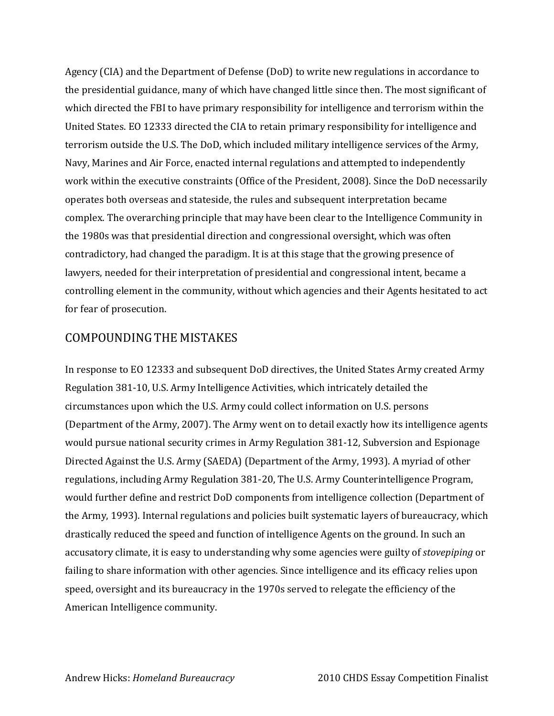Agency (CIA) and the Department of Defense (DoD) to write new regulations in accordance to the presidential guidance, many of which have changed little since then. The most significant of which directed the FBI to have primary responsibility for intelligence and terrorism within the United States. EO 12333 directed the CIA to retain primary responsibility for intelligence and terrorism outside the U.S. The DoD, which included military intelligence services of the Army, Navy, Marines and Air Force, enacted internal regulations and attempted to independently work within the executive constraints (Office of the President, 2008). Since the DoD necessarily operates both overseas and stateside, the rules and subsequent interpretation became complex. The overarching principle that may have been clear to the Intelligence Community in the 1980s was that presidential direction and congressional oversight, which was often contradictory, had changed the paradigm. It is at this stage that the growing presence of lawyers, needed for their interpretation of presidential and congressional intent, became a controlling element in the community, without which agencies and their Agents hesitated to act for fear of prosecution.

# COMPOUNDING THE MISTAKES

In response to EO 12333 and subsequent DoD directives, the United States Army created Army Regulation 381-10, U.S. Army Intelligence Activities, which intricately detailed the circumstances upon which the U.S. Army could collect information on U.S. persons (Department of the Army, 2007). The Army went on to detail exactly how its intelligence agents would pursue national security crimes in Army Regulation 381-12, Subversion and Espionage Directed Against the U.S. Army (SAEDA) (Department of the Army, 1993). A myriad of other regulations, including Army Regulation 381-20, The U.S. Army Counterintelligence Program, would further define and restrict DoD components from intelligence collection (Department of the Army, 1993). Internal regulations and policies built systematic layers of bureaucracy, which drastically reduced the speed and function of intelligence Agents on the ground. In such an accusatory climate, it is easy to understanding why some agencies were guilty of *stovepiping* or failing to share information with other agencies. Since intelligence and its efficacy relies upon speed, oversight and its bureaucracy in the 1970s served to relegate the efficiency of the American Intelligence community.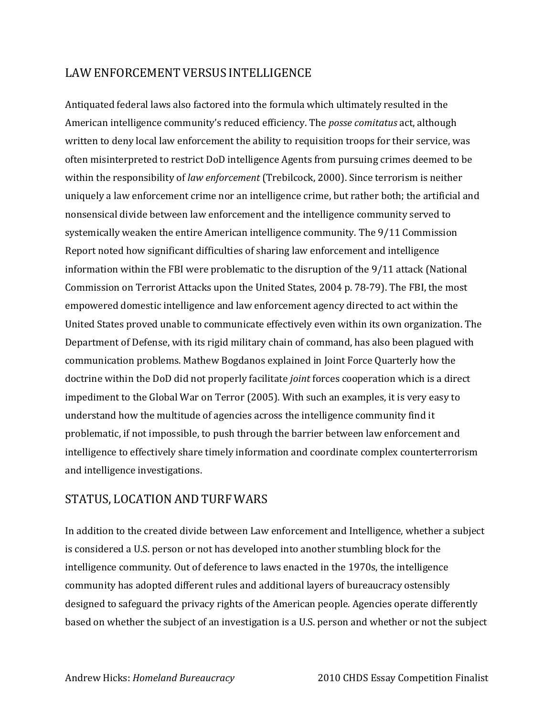#### LAW ENFORCEMENT VERSUS INTELLIGENCE

Antiquated federal laws also factored into the formula which ultimately resulted in the American intelligence community's reduced efficiency. The *posse comitatus* act, although written to deny local law enforcement the ability to requisition troops for their service, was often misinterpreted to restrict DoD intelligence Agents from pursuing crimes deemed to be within the responsibility of *law enforcement* (Trebilcock, 2000). Since terrorism is neither uniquely a law enforcement crime nor an intelligence crime, but rather both; the artificial and nonsensical divide between law enforcement and the intelligence community served to systemically weaken the entire American intelligence community. The 9/11 Commission Report noted how significant difficulties of sharing law enforcement and intelligence information within the FBI were problematic to the disruption of the 9/11 attack (National Commission on Terrorist Attacks upon the United States, 2004 p. 78-79). The FBI, the most empowered domestic intelligence and law enforcement agency directed to act within the United States proved unable to communicate effectively even within its own organization. The Department of Defense, with its rigid military chain of command, has also been plagued with communication problems. Mathew Bogdanos explained in Joint Force Quarterly how the doctrine within the DoD did not properly facilitate *joint* forces cooperation which is a direct impediment to the Global War on Terror (2005). With such an examples, it is very easy to understand how the multitude of agencies across the intelligence community find it problematic, if not impossible, to push through the barrier between law enforcement and intelligence to effectively share timely information and coordinate complex counterterrorism and intelligence investigations.

#### STATUS, LOCATIONAND TURF WARS

In addition to the created divide between Law enforcement and Intelligence, whether a subject is considered a U.S. person or not has developed into another stumbling block for the intelligence community. Out of deference to laws enacted in the 1970s, the intelligence community has adopted different rules and additional layers of bureaucracy ostensibly designed to safeguard the privacy rights of the American people. Agencies operate differently based on whether the subject of an investigation is a U.S. person and whether or not the subject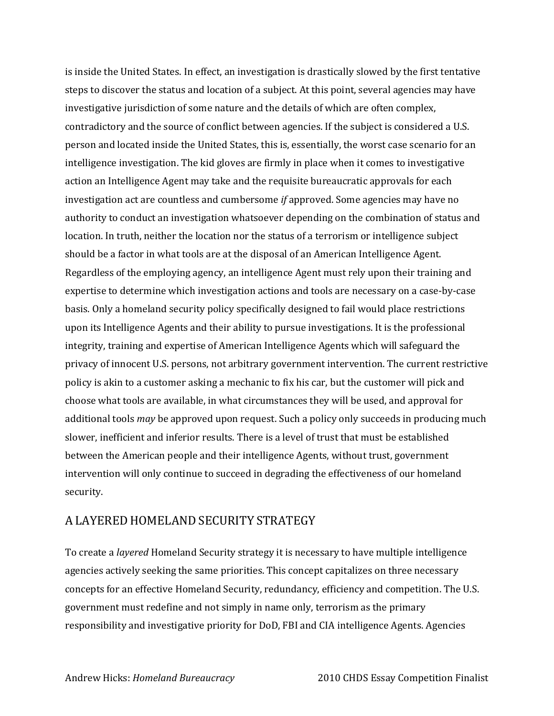is inside the United States. In effect, an investigation is drastically slowed by the first tentative steps to discover the status and location of a subject. At this point, several agencies may have investigative jurisdiction of some nature and the details of which are often complex, contradictory and the source of conflict between agencies. If the subject is considered a U.S. person and located inside the United States, this is, essentially, the worst case scenario for an intelligence investigation. The kid gloves are firmly in place when it comes to investigative action an Intelligence Agent may take and the requisite bureaucratic approvals for each investigation act are countless and cumbersome *if* approved. Some agencies may have no authority to conduct an investigation whatsoever depending on the combination of status and location. In truth, neither the location nor the status of a terrorism or intelligence subject should be a factor in what tools are at the disposal of an American Intelligence Agent. Regardless of the employing agency, an intelligence Agent must rely upon their training and expertise to determine which investigation actions and tools are necessary on a case-by-case basis. Only a homeland security policy specifically designed to fail would place restrictions upon its Intelligence Agents and their ability to pursue investigations. It is the professional integrity, training and expertise of American Intelligence Agents which will safeguard the privacy of innocent U.S. persons, not arbitrary government intervention. The current restrictive policy is akin to a customer asking a mechanic to fix his car, but the customer will pick and choose what tools are available, in what circumstances they will be used, and approval for additional tools *may* be approved upon request. Such a policy only succeeds in producing much slower, inefficient and inferior results. There is a level of trust that must be established between the American people and their intelligence Agents, without trust, government intervention will only continue to succeed in degrading the effectiveness of our homeland security.

# A LAYERED HOMELAND SECURITY STRATEGY

To create a *layered* Homeland Security strategy it is necessary to have multiple intelligence agencies actively seeking the same priorities. This concept capitalizes on three necessary concepts for an effective Homeland Security, redundancy, efficiency and competition. The U.S. government must redefine and not simply in name only, terrorism as the primary responsibility and investigative priority for DoD, FBI and CIA intelligence Agents. Agencies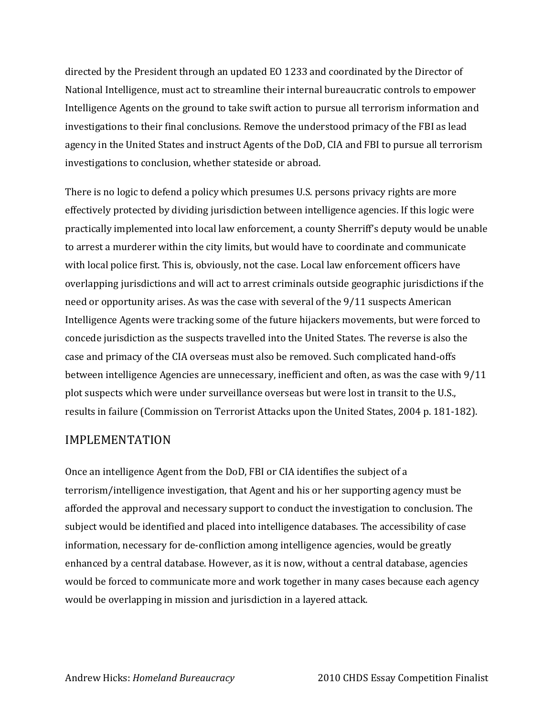directed by the President through an updated EO 1233 and coordinated by the Director of National Intelligence, must act to streamline their internal bureaucratic controls to empower Intelligence Agents on the ground to take swift action to pursue all terrorism information and investigations to their final conclusions. Remove the understood primacy of the FBI as lead agency in the United States and instruct Agents of the DoD, CIA and FBI to pursue all terrorism investigations to conclusion, whether stateside or abroad.

There is no logic to defend a policy which presumes U.S. persons privacy rights are more effectively protected by dividing jurisdiction between intelligence agencies. If this logic were practically implemented into local law enforcement, a county Sherriff's deputy would be unable to arrest a murderer within the city limits, but would have to coordinate and communicate with local police first. This is, obviously, not the case. Local law enforcement officers have overlapping jurisdictions and will act to arrest criminals outside geographic jurisdictions if the need or opportunity arises. As was the case with several of the 9/11 suspects American Intelligence Agents were tracking some of the future hijackers movements, but were forced to concede jurisdiction as the suspects travelled into the United States. The reverse is also the case and primacy of the CIA overseas must also be removed. Such complicated hand-offs between intelligence Agencies are unnecessary, inefficient and often, as was the case with 9/11 plot suspects which were under surveillance overseas but were lost in transit to the U.S., results in failure (Commission on Terrorist Attacks upon the United States, 2004 p. 181-182).

#### IMPLEMENTATION

Once an intelligence Agent from the DoD, FBI or CIA identifies the subject of a terrorism/intelligence investigation, that Agent and his or her supporting agency must be afforded the approval and necessary support to conduct the investigation to conclusion. The subject would be identified and placed into intelligence databases. The accessibility of case information, necessary for de-confliction among intelligence agencies, would be greatly enhanced by a central database. However, as it is now, without a central database, agencies would be forced to communicate more and work together in many cases because each agency would be overlapping in mission and jurisdiction in a layered attack.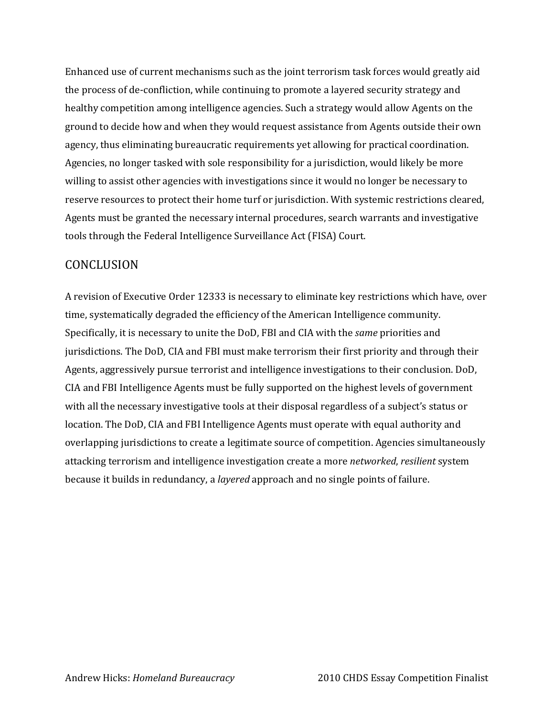Enhanced use of current mechanisms such as the joint terrorism task forces would greatly aid the process of de-confliction, while continuing to promote a layered security strategy and healthy competition among intelligence agencies. Such a strategy would allow Agents on the ground to decide how and when they would request assistance from Agents outside their own agency, thus eliminating bureaucratic requirements yet allowing for practical coordination. Agencies, no longer tasked with sole responsibility for a jurisdiction, would likely be more willing to assist other agencies with investigations since it would no longer be necessary to reserve resources to protect their home turf or jurisdiction. With systemic restrictions cleared, Agents must be granted the necessary internal procedures, search warrants and investigative tools through the Federal Intelligence Surveillance Act (FISA) Court.

# **CONCLUSION**

A revision of Executive Order 12333 is necessary to eliminate key restrictions which have, over time, systematically degraded the efficiency of the American Intelligence community. Specifically, it is necessary to unite the DoD, FBI and CIA with the *same* priorities and jurisdictions. The DoD, CIA and FBI must make terrorism their first priority and through their Agents, aggressively pursue terrorist and intelligence investigations to their conclusion. DoD, CIA and FBI Intelligence Agents must be fully supported on the highest levels of government with all the necessary investigative tools at their disposal regardless of a subject's status or location. The DoD, CIA and FBI Intelligence Agents must operate with equal authority and overlapping jurisdictions to create a legitimate source of competition. Agencies simultaneously attacking terrorism and intelligence investigation create a more *networked*, *resilient* system because it builds in redundancy, a *layered* approach and no single points of failure.